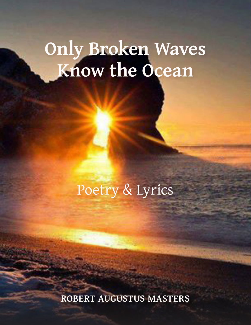# **Only Broken Waves Know the Ocean**

Poetry & Lyrics

**ROBERT AUGUSTUS MASTERS**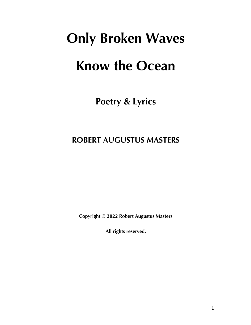# **Only Broken Waves Know the Ocean**

**Poetry & Lyrics**

# **ROBERT AUGUSTUS MASTERS**

**Copyright © 2022 Robert Augustus Masters**

**All rights reserved.**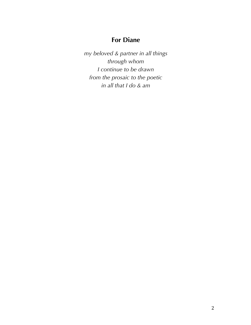# **For Diane**

*my beloved & partner in all things through whom I continue to be drawn from the prosaic to the poetic in all that I do & am*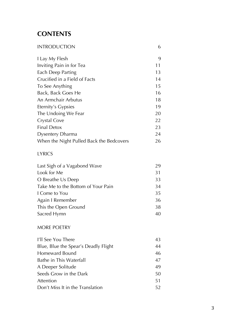# **CONTENTS**

| <b>INTRODUCTION</b>                      | 6  |
|------------------------------------------|----|
| I Lay My Flesh                           | 9  |
| Inviting Pain in for Tea                 | 11 |
| Each Deep Parting                        | 13 |
| Crucified in a Field of Facts            | 14 |
| To See Anything                          | 15 |
| Back, Back Goes He                       | 16 |
| An Armchair Arbutus                      | 18 |
| Eternity's Gypsies                       | 19 |
| The Undoing We Fear                      | 20 |
| Crystal Cove                             | 22 |
| <b>Final Detox</b>                       | 23 |
| Dysentery Dharma                         | 24 |
| When the Night Pulled Back the Bedcovers | 26 |
| <b>LYRICS</b>                            |    |
| Last Sigh of a Vagabond Wave             | 29 |
| Look for Me                              | 31 |
| O Breathe Us Deep                        | 33 |
| Take Me to the Bottom of Your Pain       | 34 |
| I Come to You                            | 35 |
| Again I Remember                         | 36 |
| This the Open Ground                     | 38 |
| Sacred Hymn                              | 40 |
| MORE POETRY                              |    |
| I'll See You There                       | 43 |
| Blue, Blue the Spear's Deadly Flight     | 44 |
| Homeward Bound                           | 46 |
| Bathe in This Waterfall                  | 47 |
| A Deeper Solitude                        | 49 |
| Seeds Grow in the Dark                   | 50 |
| Attention                                | 51 |
| Don't Miss It in the Translation         | 52 |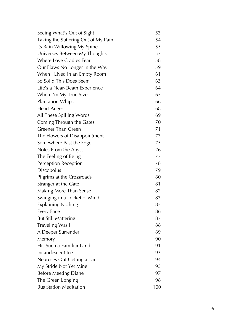| Seeing What's Out of Sight          | 53  |
|-------------------------------------|-----|
| Taking the Suffering Out of My Pain | 54  |
| Its Rain Willowing My Spine         | 55  |
| Universes Between My Thoughts       | 57  |
| <b>Where Love Cradles Fear</b>      | 58  |
| Our Flaws No Longer in the Way      | 59  |
| When I Lived in an Empty Room       | 61  |
| So Solid This Does Seem             | 63  |
| Life's a Near-Death Experience      | 64  |
| When I'm My True Size               | 65  |
| <b>Plantation Whips</b>             | 66  |
| Heart-Anger                         | 68  |
| All These Spilling Words            | 69  |
| Coming Through the Gates            | 70  |
| <b>Greener Than Green</b>           | 71  |
| The Flowers of Disappointment       | 73  |
| Somewhere Past the Edge             | 75  |
| Notes From the Abyss                | 76  |
| The Feeling of Being                | 77  |
| Perception Reception                | 78  |
| <b>Discobolus</b>                   | 79  |
| Pilgrims at the Crossroads          | 80  |
| Stranger at the Gate                | 81  |
| Making More Than Sense              | 82  |
| Swinging in a Locket of Mind        | 83  |
| <b>Explaining Nothing</b>           | 85  |
| <b>Every Face</b>                   | 86  |
| <b>But Still Mattering</b>          | 87  |
| Traveling Was I                     | 88  |
| A Deeper Surrender                  | 89  |
| Memory                              | 90  |
| His Such a Familiar Land            | 91  |
| Incandescent Ice                    | 93  |
| Neuroses Out Getting a Tan          | 94  |
| My Stride Not Yet Mine              | 95  |
| <b>Before Meeting Diane</b>         | 97  |
| The Green Longing                   | 98  |
| <b>Bus Station Meditation</b>       | 100 |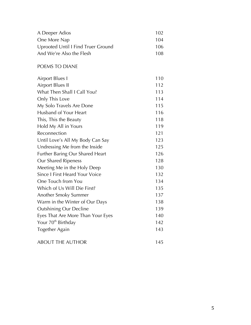| A Deeper Adios                     | 102 |
|------------------------------------|-----|
| One More Nap                       | 104 |
| Uprooted Until I Find Truer Ground | 106 |
| And We're Also the Flesh           | 108 |

#### POEMS TO DIANE

| <b>Airport Blues I</b>                | 110 |
|---------------------------------------|-----|
| <b>Airport Blues II</b>               | 112 |
| What Then Shall I Call You?           | 113 |
| Only This Love                        | 114 |
| My Solo Travels Are Done              | 115 |
| Husband of Your Heart                 | 116 |
| This, This the Beauty                 | 118 |
| Hold My All in Yours                  | 119 |
| Reconnection                          | 121 |
| Until Love's All My Body Can Say      | 123 |
| Undressing Me from the Inside         | 125 |
| Further Baring Our Shared Heart       | 126 |
| Our Shared Ripeness                   | 128 |
| Meeting Me in the Holy Deep           | 130 |
| <b>Since I First Heard Your Voice</b> | 132 |
| One Touch from You                    | 134 |
| Which of Us Will Die First?           | 135 |
| Another Smoky Summer                  | 137 |
| Warm in the Winter of Our Days        | 138 |
| <b>Outshining Our Decline</b>         | 139 |
| Eyes That Are More Than Your Eyes     | 140 |
| Your 70 <sup>th</sup> Birthday        | 142 |
| Together Again                        | 143 |
| <b>ABOUT THE AUTHOR</b>               | 145 |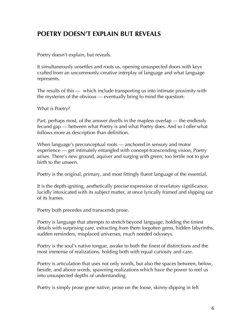# **POETRY DOESN'T EXPLAIN BUT REVEALS**

Poetry doesn't explain, but reveals.

It simultaneously unsettles and roots us, opening unsuspected doors with keys crafted from an uncommonly creative interplay of language and what language represents.

The results of this — which include transporting us into intimate proximity with the mysteries of the obvious — eventually bring to mind the question:

What is Poetry?

Part, perhaps most, of the answer dwells in the mapless overlap — the endlessly fecund gap — between what Poetry is and what Poetry does. And so I offer what follows more as description than definition.

When language's preconceptual roots — anchored in sensory and motor experience — get intimately entangled with concept-transcending vision, Poetry arises. There's new ground, aquiver and surging with green, too fertile not to give birth to the unseen.

Poetry is the original, primary, and most fittingly fluent language of the essential.

It is the depth-igniting, aesthetically precise expression of revelatory significance, lucidly intoxicated with its subject matter, at once lyrically framed and slipping out of its frames.

Poetry both precedes and transcends prose.

Poetry is language that attempts to stretch beyond language, holding the tiniest details with surprising care, extracting from them forgotten gems, hidden labyrinths, sudden reminders, misplaced universes, much needed odysseys.

Poetry is the soul's native tongue, awake to both the finest of distinctions and the most immense of realizations, holding both with equal curiosity and care.

Poetry is articulation that uses not only words, but also the spaces between, below, beside, and above words, spawning realizations which have the power to reel us into unsuspected depths of understanding.

Poetry is simply prose gone native, prose on the loose, skinny-dipping in felt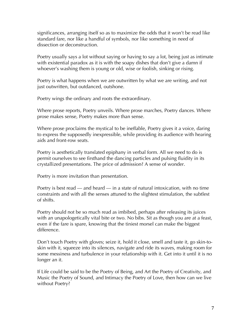significances, arranging itself so as to maximize the odds that it won't be read like standard fare, nor like a handful of symbols, nor like something in need of dissection or deconstruction.

Poetry usually says a lot without saying or having to say a lot, being just as intimate with existential paradox as it is with the soapy dishes that don't give a damn if whoever's washing them is young or old, wise or foolish, sinking or rising.

Poetry is what happens when we are outwritten by what we are writing, and not just outwritten, but outdanced, outshone.

Poetry wings the ordinary and roots the extraordinary.

Where prose reports, Poetry unveils. Where prose marches, Poetry dances. Where prose makes sense, Poetry makes more than sense.

Where prose proclaims the mystical to be ineffable, Poetry gives it a voice, daring to express the supposedly inexpressible, while providing its audience with hearing aids and front-row seats.

Poetry is aesthetically translated epiphany in verbal form. All we need to do is permit ourselves to see firsthand the dancing particles and pulsing fluidity in its crystallized presentations. The price of admission? A sense of wonder.

Poetry is more invitation than presentation.

Poetry is best read — and heard — in a state of natural intoxication, with no time constraints and with all the senses attuned to the slightest stimulation, the subtlest of shifts.

Poetry should not be so much read as imbibed, perhaps after releasing its juices with an unapologetically vital bite or two. No bibs. Sit as though you are at a feast, even if the fare is spare, knowing that the tiniest morsel can make the biggest difference.

Don't touch Poetry with gloves; seize it, hold it close, smell and taste it, go skin-toskin with it, squeeze into its silences, navigate and ride its waves, making room for some messiness and turbulence in your relationship with it. Get into it until it is no longer an it.

If Life could be said to be the Poetry of Being, and Art the Poetry of Creativity, and Music the Poetry of Sound, and Intimacy the Poetry of Love, then how can we live without Poetry?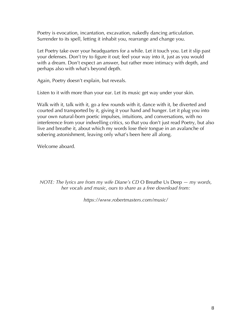Poetry is evocation, incantation, excavation, nakedly dancing articulation. Surrender to its spell, letting it inhabit you, rearrange and change you.

Let Poetry take over your headquarters for a while. Let it touch you. Let it slip past your defenses. Don't try to figure it out; feel your way into it, just as you would with a dream. Don't expect an answer, but rather more intimacy with depth, and perhaps also with what's beyond depth.

Again, Poetry doesn't explain, but reveals.

Listen to it with more than your ear. Let its music get way under your skin.

Walk with it, talk with it, go a few rounds with it, dance with it, be diverted and courted and transported by it, giving it your hand and hunger. Let it plug you into your own natural-born poetic impulses, intuitions, and conversations, with no interference from your indwelling critics, so that you don't just read Poetry, but also live and breathe it, about which my words lose their tongue in an avalanche of sobering astonishment, leaving only what's been here all along.

Welcome aboard.

*NOTE: The lyrics are from my wife Diane's CD* O Breathe Us Deep *— my words, her vocals and music, ours to share as a free download from:*

*https://www.robertmasters.com/music/*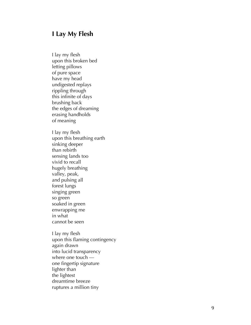# **I Lay My Flesh**

I lay my flesh

upon this broken bed letting pillows of pure space have my head undigested replays rippling through this infinite of days brushing back the edges of dreaming erasing handhold s of meaning I lay my flesh upon this breathing earth sinking deeper than rebirth sensing lands too vivid to recall hugely breathing valley, peak , and pulsing all forest lungs singing green so green soaked in green enwrapping me in what cannot be seen I lay my flesh upon this flaming contingency again drawn into lucid transparency where one touch one fingertip signature lighter than the lightest dreamtime breeze ruptures a million tiny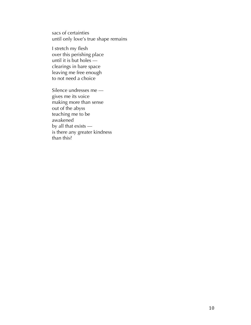sacs of certainties until only love's true shape remains

I stretch my flesh over this perishing place until it is but holes clearings in bare space leaving me free enough to not need a choice

Silence undresses me gives me its voice making more than sense out of the abyss teaching me to be awakened by all that exists is there any greater kindness than this?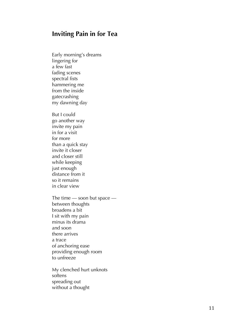# **Inviting Pain in for Tea**

Early morning's dreams lingering for a few fast fading scenes spectral fists hammering me from the inside gatecrashing my dawning day

But I could go another way invite my pain in for a visit for more than a quick stay invite it closer and closer still while keeping just enough distance from it so it remains in clear view

The time — soon but space between thoughts broadens a bit I sit with my pain minus its drama and soon there arrives a trace of anchoring ease providing enough room to unfreeze

My clenched hurt unknots softens spreading out without a thought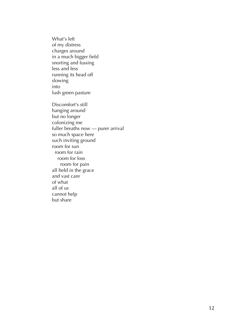What's left of my distress charges around in a much bigger field snorting and fussing less and less running its head off slowing into lush green pasture Discomfort's still hanging around but no longer colonizing me fuller breaths now — purer arrival so much space here such inviting ground room for sun room for rain room for loss room for pain all held in the grace and vast care of what all of us cannot help but share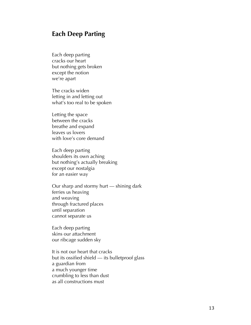# **Each Deep Parting**

Each deep parting cracks our heart but nothing gets broken except the notion we're apart

The cracks widen letting in and letting out what's too real to be spoken

Letting the space between the cracks breathe and expand leaves us lovers with love's core demand

Each deep parting shoulders its own aching but nothing's actually breaking except our nostalgia for an easier way

Our sharp and stormy hurt — shining dark ferries us heaving and weaving through fractured places until separation cannot separate us

Each deep parting skins our attachment our ribcage sudden sky

It is not our heart that cracks but its ossified shield — its bulletproof glass a guardian from a much younger time crumbling to less than dust as all constructions must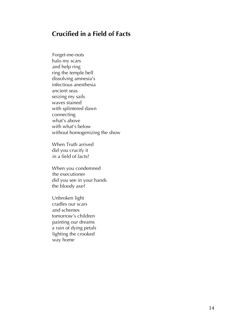# **Crucified in a Field of Facts**

 Forget-me-nots halo my scars and help ring ring the temple bell dissolving amnesia's infectious anesthesia ancient seas seizing my sails waves stained with splintered dawn connecting what's above with what's below without homogenizing the show

When Truth arrived did you crucify it in a field of facts?

When you condemned the executioner did you see in your hands the bloody axe?

Unbroken light cradles our scars and schemes tomorrow's children painting our dreams a rain of dying petals lighting the crooked way home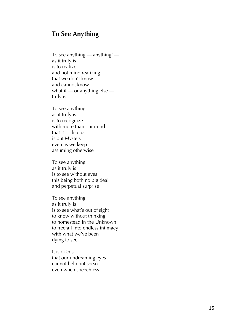# **To See Anything**

To see anything — anything! as it truly is is to realize and not mind realizing that we don't know and cannot know what it — or anything else truly is

To see anything as it truly is is to recognize with more than our mind that it — like us is but Mystery even as we keep assuming otherwise

To see anything as it truly is is to see without eyes this being both no big deal and perpetual surprise

To see anything as it truly is is to see what's out of sight to know without thinking to homestead in the Unknown to freefall into endless intimacy with what we've been dying to see

It is of this that our undreaming eyes cannot help but speak even when speechless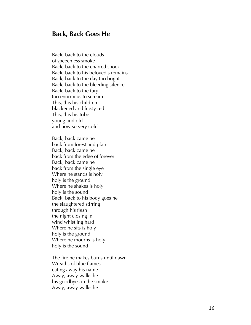#### **Back, Back Goes He**

Back, back to the clouds of speechless smoke Back, back to the charred shock Back, back to his beloved's remains Back, back to the day too bright Back, back to the bleeding silence Back, back to the fury too enormous to scream This, this his children blackened and frosty red This, this his tribe young and old and now so very cold

Back, back came he back from forest and plain Back, back came he back from the edge of forever Back, back came he back from the single eye Where he stands is holy holy is the ground Where he shakes is holy holy is the sound Back, back to his body goes he the slaughtered stirring through his flesh the night closing in wind whistling hard Where he sits is holy holy is the ground Where he mourns is holy holy is the sound

The fire he makes burns until dawn Wreaths of blue flames eating away his name Away, away walks he his goodbyes in the smoke Away, away walks he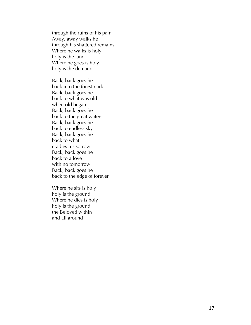through the ruins of his pain Away, away walks he through his shattered remains Where he walks is holy holy is the land Where he goes is holy holy is the demand

Back, back goes he back into the forest dark Back, back goes he back to what was old when old began Back, back goes he back to the great waters Back, back goes he back to endless sky Back, back goes he back to what cradles his sorrow Back, back goes he back to a love with no tomorrow Back, back goes he back to the edge of forever

Where he sits is hol y holy is the ground Where he dies is holy holy is the ground the Beloved within and all around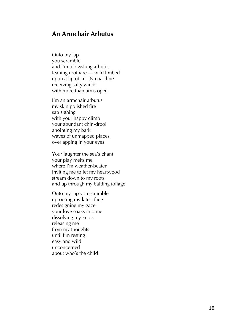# **An Armchair Arbutus**

Onto my lap you scramble and I'm a lowslung arbutus leaning rootbare — wild limbed upon a lip of knotty coastline receiving salty winds with more than arms open

I'm an armchair arbutus my skin polished fire sap sighing with your happy climb your abundant chin-drool anointing my bark waves of unmapped places overlapping in your eyes

Your laughter the sea's chant your play melts me where I'm weather-beaten inviting me to let my heartwood stream down to my roots and up through my balding foliage

Onto my lap you scramble uprooting my latest face redesigning my gaze your love soaks into me dissolving my knots releasing me from my thoughts until I'm resting easy and wild unconcerned about who's the child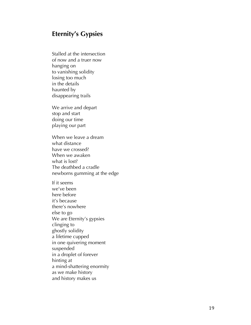# **Eternity's Gypsies**

Stalled at the intersection of now and a truer now hanging on to vanishing solidity losing too much in the details haunted by disappearing trails<br>We arrive and depart

stop and start doing our time playing our part

When we leave a dream what distance have we crossed? When we awaken what is lost? The deathbed a cradle newborns gumming at the edge

If it seems we've been here before it's because there's nowhere else to go We are Eternity's gypsies clinging to ghostly solidity a lifetime cupped in one quivering moment suspended in a droplet of forever hinting at a mind -shattering enormity as we make history and history makes us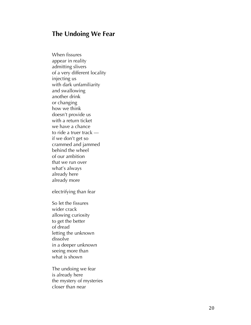# **The Undoing We Fear**

When fissures appear in reality admitting slivers of a very different locality injecting us with dark unfamiliarity and swallowing another drink or changing how we think doesn't provide us with a return ticket<br>we have a chance to ride a truer track if we don't get so crammed and jammed behind the wheel of our ambition that we run over what's always already here already more

electrifying than fear

So let the fissures wider crack allowing curiosity to get the better of dread letting the unknown dissolve in a deeper unknown seeing more than what is shown

The undoing we fear is already here the mystery of mysteries closer than near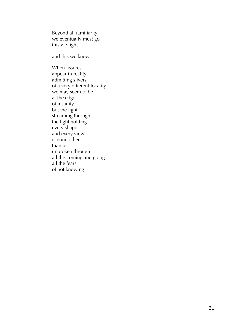Beyond all familiarity we eventually must go this we fight

and this we know

When fissures appear in reality admitting slivers of a very different locality we may seem to be at the edge of insanity but the light streaming through the light holding every shape and every view is none other than us unbroken through all the coming and going all the fears of not knowing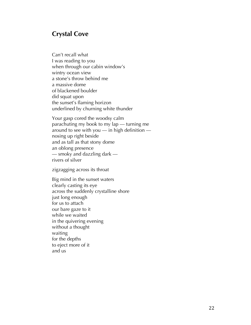# **Crystal Cove**

Can't recall what I was reading to you when through our cabin window's wintry ocean view a stone's throw behind me a massive dome of blackened boulder did squat upon the sunset's flaming horizon underlined by churning white thunder

Your gasp cored the woodsy calm parachuting my book to my lap — turning me around to see with you — in high definition nosing up right beside and as tall as that stony dome an oblong presence — smoky and dazzling dark rivers of silver

zigzagging across its throat

Big mind in the sunset waters clearly casting its eye across the suddenly crystalline shore just long enough for us to attach our bare gaze to it while we waited in the quivering evening without a thought waiting for the depths to eject more of it and us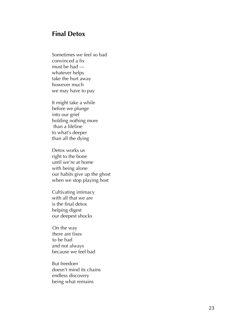# **Final Detox**

Sometimes we feel so bad convinced a fix must be had whatever helps take the hurt away however much we may have to pay

It might take a while before we plunge into our grief holding nothing more than a lifeline to what's deeper than all the dying

Detox works us right to the bone until we're at home with being alone our habits giv e up the ghost when we stop playing host

Cultivating intimacy with all that we are is the final detox helping digest our deepest shock s

On the way there are fixes to be had and not always because we feel bad

But freedom doesn't mind its chains endless discovery being what remains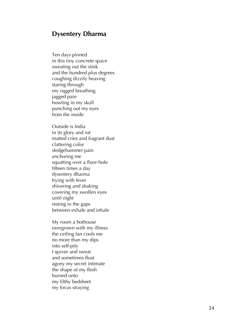### **Dysentery Dharma**

Ten days pinned in this tiny concrete space sweating out the stink and the hundred plus degrees coughing dizzily heaving staring through my ragged breathing jagged pain howling in my skull punching out my eyes from the inside

Outside is India in its glory and rot matted cries and fragrant dust clattering color sledgehammer pain anchoring me squatting over a floor -hole fifteen times a day dysentery dharma frying with fever shivering and shaking covering my swollen eyes until night resting in the gaps between exhale and inhale

My room a hothouse overgrown with my illness the ceiling fan cools me no more than my dips into self -pity I quiver and sweat and sometimes float agony my secret intimate the shape of my flesh burned onto my filthy bedsheet my focus straying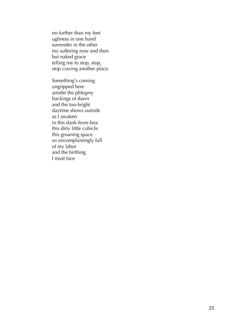no further than my feet ugliness in one hand surrender in the other my suffering now and then but naked grace telling me to stop, stop, stop craving another place

Something's coming ungripped here amidst the phlegmy hackings of dawn and the too-bright daytime shows outside as I awaken in this dank fever-box this dirty little cubicle this groaning space so uncomplainingly full of my labor and the birthing I must face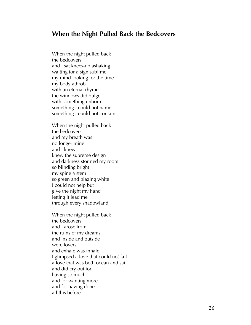#### **When the Night Pulled Back the Bedcovers**

When the night pulled back the bedcovers and I sat knees-up ashaking waiting for a sign sublime my mind looking for the time my body athrob with an eternal rhyme the windows did bulge with something unborn something I could not name something I could not contain

When the night pulled back the bedcovers and my breath was no longer mine and I knew knew the supreme design and darkness stormed my room so blinding bright my spine a stem so green and blazing white I could not help but give the night my hand letting it lead me through every shadowland

When the night pulled back the bedcovers and I arose from the ruins of my dreams and inside and outside were lovers and exhale was inhale I glimpsed a love that could not fail a love that was both ocean and sail and did cry out for having so much and for wanting more and for having done all this before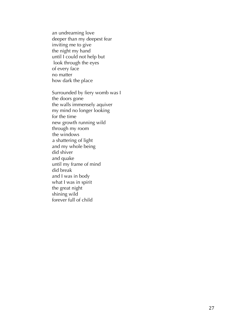an undreaming love deeper than my deepest fear inviting me to give the night my hand until I could not help but look through the eyes of every face no matter how dark the place

Surrounded by fiery womb was I the doors gone the walls immensely aquiver my mind no longer looking for the time new growth running wild through my room the windows a shattering of light and my whole being did shiver and quake until my frame of mind did break and I was in body what I was in spirit the great night shining wild forever full of child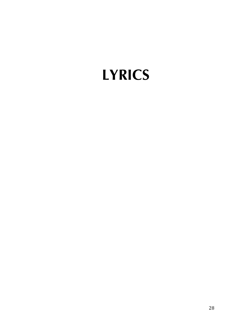# **LYRICS**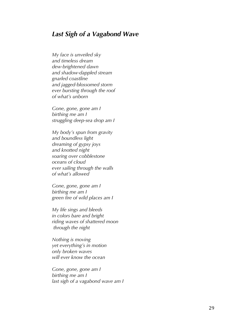### *Last Sigh of a Vagabond Wave*

*My face is unveiled sky and timeless dream dew-brightened dawn and shadow -dappled stream gnarled coastline and jagged -blossomed storm ever bursting through the roof of what's unborn*

*Gone, gone, gone am I birthing me am I struggling deep -sea drop am I*

*My body's spun from gravity and boundless light dreaming of gypsy joys and knotted night soaring over cobblestone oceans of cloud ever sailing through the walls of what's allowed*

*Gone, gone, gone am I birthing me am I green fire of wild places am I*

*My life sings and bleeds in colors bare and bright riding waves of shattered moon through the night*

*Nothing is moving yet everything's in motion only broken waves will ever know the ocea n*

*Gone, gone, gone am I birthing me am I last sigh of a vagabond wave am I*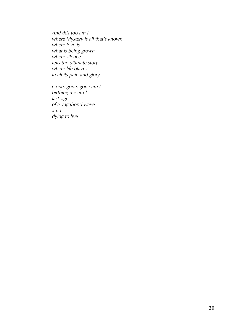*And this too am I where Mystery is all that's known where love is what is being grown where silence tells the ultimate story where life blazes in all its pain and glory*

*Gone, gone, gone am I birthing me am I last sigh of a vagabond wave am I dying to live*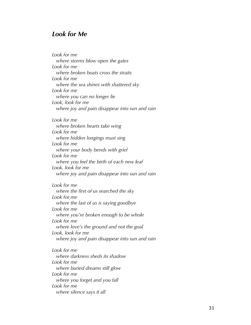# *Look for Me*

*Look for me where storms blow open the gates Look for me where broken boats cross the straits Look for me where the sea shines with shattered sky Look for me where you can no longer lie Look, look for me where joy and pain disappear into sun and rain Look for me where broken hearts take wing Look for me where hidden longings must sing Look for me where your body bends with grief Look for me where you feel the birth of each new leaf Look, look for me where joy and pain disappear into sun and rain Look for me where the first of us searched the sky Look for me where the last of us is saying goodbye Look for me where you're broken enough to be whole Look for me where love's the ground and not the goal Look, look for me where joy and pain disappear into sun and rain Look for me where darkness sheds its shadow Look for me where buried dreams still glow Look for me where you forget and you fall Look for me where silence says it all*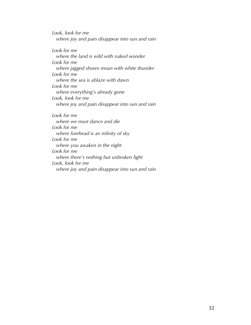*Look, look for me where joy and pain disappear into sun and rain*

*Look for me where the land is wild with naked wonder Look for me where jagged shores moan with white thunder Look for me where the sea is ablaze with dawn Look for me where everything's already gone Look, look for me where joy and pain disappear into sun and rain*

*Look for me where we must dance and die Look for me where forehead is an infinity of sky Look for me where you awaken in the night Look for me where there's nothing but unbroken light Look, look for me where joy and pain disappear into sun and rain*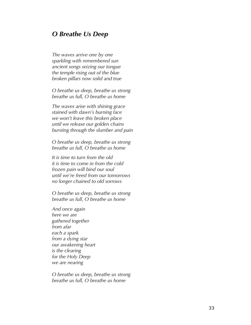# *O Breathe Us Deep*

*The waves arrive one by one sparkling with remembered sun ancient songs seizing our tongue the temple rising out of the blue broken pillars now solid and true*

*O breathe us deep, breathe us strong breathe us full, O breathe us home*

*The waves arise with shining grace stained with dawn's burning face we won't leave this broken place until we release our golden chains bursting through the slumber and pain*

*O breathe us deep, breathe us strong breathe us full, O breathe us home*

*It is time to turn from the old it is time to come in from the cold frozen pain will bind our soul until we're freed from our tomorrows no longer chained to old sorrows*

*O breathe us deep, breathe us strong breathe us full, O breathe us home*

*And once again here we are gathered together from afar each a spark from a dying star our awakening heart is the clearing for the Holy Deep we are nearing*

*O breathe us deep, breathe us strong breathe us full, O breathe us home*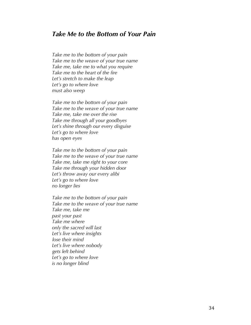# *Take Me to the Bottom of Your Pain*

*Take me to the bottom of your pain Take me to the weave of your true name Take me, take me to what you require Take me to the heart of the fire Let's stretch to make the leap Let's go to where love must also weep*

*Take me to the bottom of your pain Take me to the weave of your true name Take me, take me over the rise Take me through all your goodbyes Let's shine through our every disguise Let's go to where love has open eyes*

*Take me to the bottom of your pain Take me to the weave of your true name Take me, take me right to your core Take me through your hidden door Let's throw away our every alibi Let's go to where love no longer lies* 

*Take me to the bottom of your pain Take me to the weave of your true name Take me, take me past your past Take me where only the sacred will last Let's live where insights lose their mind Let's live where nobody gets left behind Let's go to where love is no longer blind*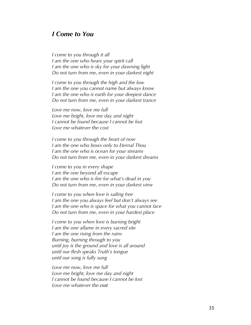#### *I Come to You*

*I come to you through it all I am the one who hears your spirit call I am the one who is sky for your dawning light Do not turn from me, even in your darkest night*

*I come to you through the high and the low I am the one you cannot name but always know I am the one who is earth for your deepest dance Do not turn from me, even in your darkest trance*

*Love me now, love me full Love me bright, love me day and night I cannot be found because I cannot be lost Love me whatever the cost*

*I come to you through the heart of now I am the one who bows only to Eternal Thou I am the one who is ocean for your streams Do not turn from me, even in your darkest dreams*

*I come to you in every shape I am the one beyond all escape I am the one who is fire for what's dead in you Do not turn from me, even in your darkest view*

*I come to you when love is sailing free I am the one you always feel but don't always see I am the one who is space for what you cannot face Do not turn from me, even in your hardest place*

*I come to you when love is burning bright I am the one aflame in every sacred site I am the one rising from the ruins Burning, burning through to you until joy is the ground and love is all around until our flesh speaks Truth's tongue until our song is fully sung*

*Love me now, love me full Love me bright, love me day and night I cannot be found because I cannot be lost Love me whatever the cost*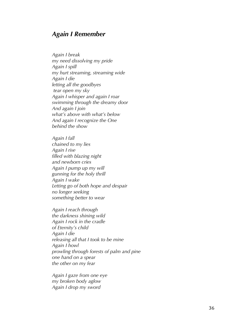#### *Again I Remember*

*Again I break my need dissolving my pride Again I spill my hurt streaming, streaming wide Again I die letting all the goodbyes tear open my sky Again I whisper and again I roar swimming through the dreamy door And again I join what's above with what's below And again I recognize the One behind the show*

*Again I fall chained to my lies Again I rise filled with blazing night and newborn cries Again I pump up my will gunning for the holy thrill Again I wake Letting go of both hope and despair no longer seeking something better to wear*

*Again I reach through the darkness shining wild Again I rock in the cradle of Eternity's child Again I die releasing all that I took to be mine Again I howl prowling through forests of palm and pine one hand on a spear the other on my fear*

*Again I gaze from one eye my broken body aglow Again I drop my sword*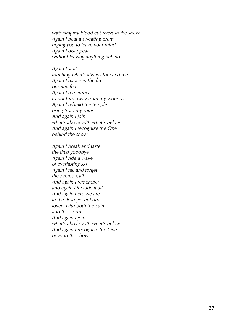*watching my blood cut rivers in the snow Again I beat a sweating drum urging you to leave your mind Again I disappear without leaving anything behind*

*Again I smile touching what's always touched me Again I dance in the fire burning free Again I remember to not turn away from my wounds Again I rebuild the temple rising from my ruins And again I join what's above with what's below And again I recognize the One behind the show*

*Again I break and taste the final goodbye Again I ride a wave of everlasting sky Again I fall and forget the Sacred Call And again I remember and again I include it all And again here we are in the flesh yet unborn lovers with both the calm and the storm And again I join what's above with what's below And again I recognize the One beyond the show*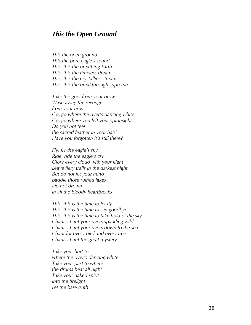#### *This the Open Ground*

*This the open ground This the pure eagle's sound This, this the breathing Earth This, this the timeless dream This, this the crystalline stream This, this the breakthrough supreme*

*Take the grief from your brow Wash away the revenge from your now Go, go where the river's dancing white Go, go where you left your spirit -sight Do you not feel the sacred feather in your hair? Have you forgotten it's still there?*

*Fly, fly the eagle's sky Ride, ride the eagle's cry Glory every cloud with your flight Leave fiery trails in the darkest night But do not let your mind paddle those ruined lakes Do not drown in all the bloody heartbreaks*

*This, this is the time to let fly This, this is the time to say goodbye This, this is the time to take hold of the sky Chant, chant your rivers sparkling wild Chant, chant your rivers down to the sea Chant for every bird and every tree Chant, chant the great mystery*

*Take your hurt to where the river's dancing white Take your past to where the drums beat all night Take your naked spirit into the firelight Let the bare truth*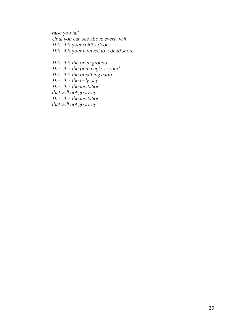*raise you tall Until you can see above every wall This, this your spirit's door This, this your farewell to a dead shore*

*This, this the open ground This, this the pure eagle's sound This, this the breathing earth This, this the holy day This, this the invitation that will not go away This, this the invitation that will not go away*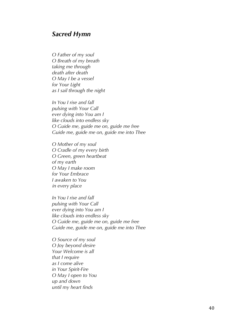#### *Sacred Hymn*

*O Father of my soul O Breath of my breath taking me through death after death O May I be a vessel for Your Light as I sail through the night* 

*In You I rise and fall pulsing with Your Call ever dying into You am I like clouds into endless sky O Guide me, guide me on, guide me free Guide me, guide me on, guide me into Thee* 

*O Mother of my soul O Cradle of my every birth O Green, green heartbeat of my earth O May I make room for Your Embrace I awaken to You in every place* 

*In You I rise and fall pulsing with Your Call ever dying into You am I like clouds into endless sky O Guide me, guide me on, guide me free Guide me, guide me on, guide me into Thee* 

*O Source of my soul O Joy beyond desire Your Welcome is all that I require as I come alive in Your Spirit -Fire O May I open to You up and down until my heart finds*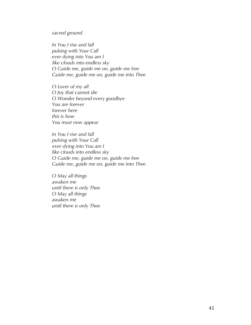*sacred ground*

*In You I rise and fall pulsing with Your Call ever dying into You am I like clouds into endless sky O Guide me, guide me on, guide me free Guide me, guide me on, guide me into Thee* 

*O Lover of my all O Joy that cannot die O Wonder beyond every goodbye You are forever forever here this is how You must now appear* 

*In You I rise and fall pulsing with Your Call ever dying into You am I like clouds into endless sky O Guide me, guide me on, guide me free Guide me, guide me on, guide me into Thee*

*O May all things awaken me until there is only Thee O May all things awaken me until there is only Thee*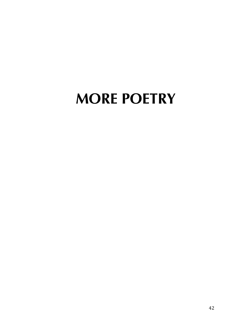# **MORE POETRY**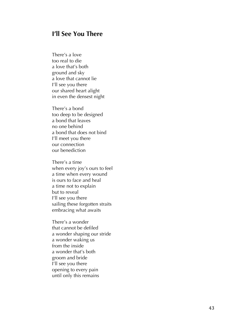#### **I'll See You There**

There's a love too real to die a love that's both ground and sky a love that cannot lie I'll see you there our shared heart alight in even the densest night

There's a bond too deep to be designed a bond that leaves no one behind a bond that does not bind I'll meet you there our connection our benediction

There's a time when every joy's ours to feel a time when every wound is ours to face and heal a time not to explain but to reveal I'll see you there sailing these forgotten straits embracing what awaits

There's a wonder that cannot be defiled a wonder shaping our stride a wonder waking us from the inside a wonder that's both groom and bride I'll see you there opening to every pain until only this remains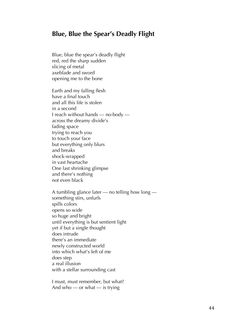#### **Blue, Blue the Spear's Deadly Flight**

Blue, blue the spear's deadly flight red, red the sharp sudden slicing of metal axeblade and sword opening me to the bone

Earth and my falling flesh have a final touch and all this life is stolen in a second I reach without hands — no-body across the dreamy divide's fading space trying to reach you to touch your face but everything only blurs and breaks shock-wrapped in vast heartache One last shrinking glimpse and there's nothing not even black

A tumbling glance later — no telling how long something stirs, unfurls spills colors opens so wide so huge and bright until everything is but sentient light yet if but a single thought does intrude there's an immediate newly constructed world into which what's left of me does step a real illusion with a stellar surrounding cast

I must, must remember, but what? And who — or what — is trying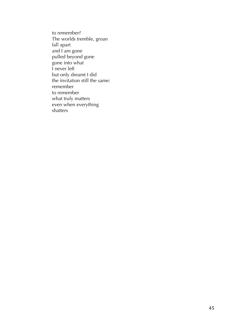to remember? The worlds tremble, groan fall apart and I am gone pulled beyond gone gone into what I never left but only dreamt I did the invitation still the same: remember to remember what truly matters even when everything shatters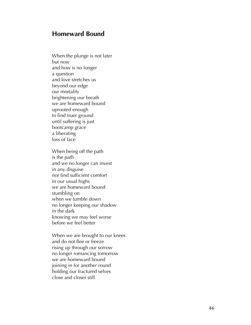#### **Homeward Bound**

When the plunge is not later but now and how is no longer a question and love stretches us beyond our edge our mortality brightening our breath we are homeward bound uprooted enough to find truer ground until suffering is just bootcamp grace a liberating loss of face

When being off the path is the path and we no longer can invest in any disguise nor find sufficient comfort in our usual highs we are homeward bound stumbling on when we tumble down no longer keeping our shadow in the dark knowing we may feel worse before we feel better

When we are brought to our knees and do not flee or freeze rising up through our sorrow no longer romancing tomorrow we are homeward bound joining in for another round holding our fractured selves close and closer still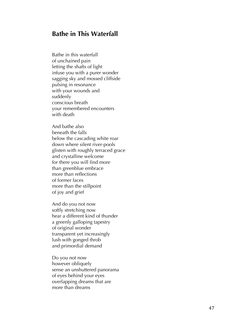## **Bathe in This Waterfall**

Bathe in this waterfall of unchained pain letting the shafts of light infuse you with a purer wonder sagging sky and mossed cliffside pulsing in resonance with your wounds and suddenly conscious breath your remembered encounters with death

And bathe also beneath the falls below the cascading white roar down where silent river -pools glisten with roughly terraced grace and crystalline welcome for there you will find more than greenblue embrace more than reflections of former faces more than the stillpoint of joy and grief

And do you not now softly stretching now hear a different kind of thunder a greenly galloping tapestry of original wonder transparent yet increasingly lush with gonged throb and primordial demand

Do you not now however obliquely sense an unshuttered panorama of eyes behind your eyes overlapping dreams that are more than dreams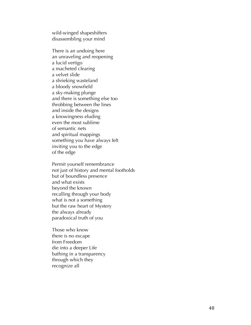wild -winged shapeshifters disassembling your mind

There is an undoing here an unraveling and reopening a lucid vertigo a macheted clearing a velvet slide a shrieking wasteland a bloody snowfield a sky -making plunge and there is something else too throbbing between the lines and inside the designs a knowingness eluding even the most sublime of semantic nets and spiritual mappings something you have always felt inviting you to the edge of the edge

Permit yourself remembrance not just of history and mental footholds but of boundless presence and what exists beyond the known recalling through your body what is not a something but the raw heart of Mystery the always already paradoxical truth of you

Those who know there is no escape from Freedom die into a deeper Lif e bathing in a transparency through which they recognize all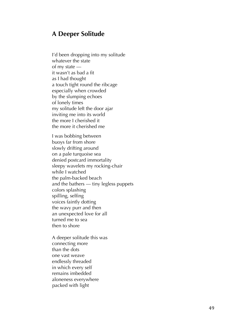#### **A Deeper Solitude**

I'd been dropping into my solitude whatever the state of my state it wasn't as bad a fit as I had thought a touch tight round the ribcage especially when crowded by the slumping echoes of lonely times my solitude left the door ajar inviting me into its world the more I cherished it the more it cherished me

I was bobbing between buoys far from shore slowly drifting around on a pale turquoise sea denied postcard immortality sleepy wavelet s my rocking -chair while I watched the palm -backed beach and the bathers — tiny legless puppets colors splashing spilling, selfing voices faintly dotting the wavy purr and then an unexpected love for all turned me to sea then to shore

A deeper solitude this was connecting more than the dots one vast weave endlessly threaded in which every self remains imbedded aloneness everywhere packed with light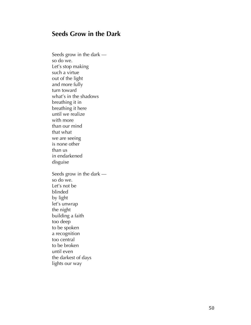## **Seeds Grow in the Dark**

Seeds grow in the dark so do we . Let's stop making such a virtue out of the light and more fully turn toward what's in the shadows breathing it in breathing it here until we realize with more than our mind that what we are seeing is none other than us<br>in endarkened disguise Seeds grow in the dark so do we . Let's not be blinded by light let's unwrap the night building a faith too deep to be spoken a recognition too central to be broken until even the darkest of days lights our way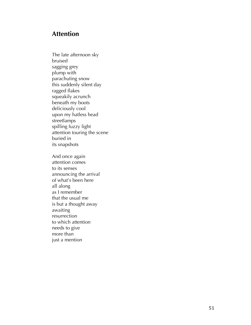# **Attention**

The late afternoon sky bruised sagging grey<br>plump with parachuting snow this suddenly silent day ragged flakes squeakily acrunch beneath my boots deliciously cool upon my hatless head streetlamps spilling fuzzy light attention touring the scene buried in its snapshots

And once again attention comes to its senses announcing the arrival of what's been here all along as I remember<br>that the usual me<br>is but a thought away awaiting resurrection to which attention needs to give more than just a mention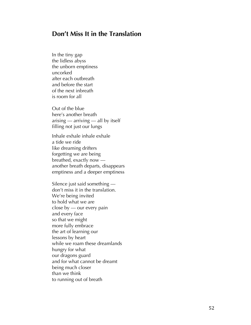## **Don't Miss It in the Translation**

In the tiny gap<br>the lidless abyss the unborn emptiness uncorked after each outbreath and before the start of the next inbreath is room for all

Out of the blue here's another breath arising — arriving — all by itself filling not just our lungs

Inhale exhale inhale exhale a tide we ride like dreaming drifters forgetting we are being breathed, exactly now another breath departs, disappears emptiness and a deeper emptiness

Silence just said something don't miss it in the translation . We're being invited to hold what we are close by — our every pain and every face so that we might more fully embrace<br>the art of learning our lessons by heart while we roam these dreamlands hungry for what our dragons guard and for what cannot be dreamt being much closer than we think to running out of breath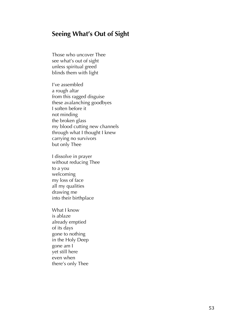# **Seeing What's Out of Sight**

Those who uncover Thee see what's out of sight unless spiritual greed blinds them with light

I've assembled a rough altar from this ragged disguise these avalanching goodbyes I soften before it not minding the broken glass my blood cutting new channels through what I thought I knew carrying no survivors but only Thee

I dissolve in prayer without reducing Thee to a you welcoming my loss of face all my qualities drawing me into their birthplace

What I know is ablaze already emptied of its days gone to nothing in the Holy Deep gone am I yet still here even when there's only Thee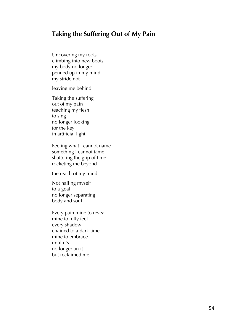# **Taking the Suffering Out of My Pain**

Uncovering my roots climbing into new boots my body no longer penned up in my mind my stride not

leaving me behind

Taking the suffering out of my pain teaching my flesh to sing no longer looking for the key in artificial light

Feeling what I cannot name something I cannot tame shattering the grip of time rocketing me beyond

the reach of my mind

Not nailing myself to a goal no longer separating body and soul

Every pain mine to reveal mine to fully feel every shadow chained to a dark time mine to embrace until it's no longer an it but reclaimed me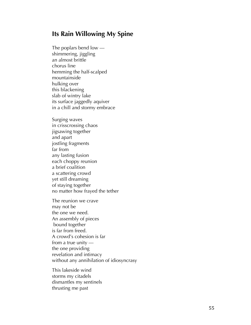#### **Its Rain Willowing My Spine**

The poplars bend low shimmering, jiggling an almost brittle chorus line hemming the half -scalped mountainside hulking over this blackening slab of wintry lake its surface jaggedly aquiver in a chill and stormy embrace

Surging waves in crisscrossing chaos jigsawing together and apart jostling fragments far from any lasting fusion each choppy reunion a brief coalition a scattering crowd yet still dreaming of staying together no matter how frayed the tether

The reunion we crave may not be the one we need . An assembly of pieces bound together is far from freed . A crowd's cohesion is far from a true unity the one providing revelation and intimacy without any annihilation of idiosyncrasy

This lakeside wind storms my citadels dismantles my sentinels thrusting me past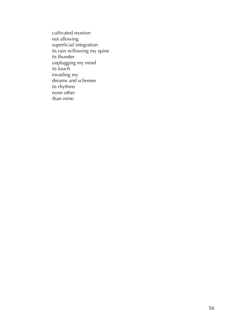cultivated reunion not allowing superficial integration its rain willowing my spine its thunder unplugging my mind its touch invading my dreams and schemes its rhythms none other than mine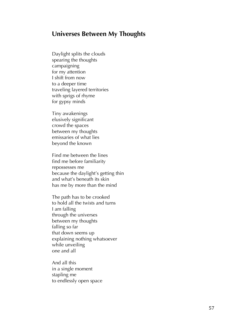#### **Universes Between My Thoughts**

Daylight splits the clouds spearing the thoughts campaigning for my attention I shift from now to a deeper time traveling layered territories with sprigs of rhyme for gypsy minds

Tiny awakenings elusively significant crowd the spaces between my thoughts emissaries of what lies beyond the known

Find me between the lines find me before familiarity repossesses me because the daylight's getting thin and what's beneath its skin has me by more than the mind

The path has to be crooked to hold all the twists and turns I am falling through the universes between my thoughts falling so far that down seems up explaining nothing whatsoever while unveiling one and all

And all this<br>in a single moment stapling me to endlessly open space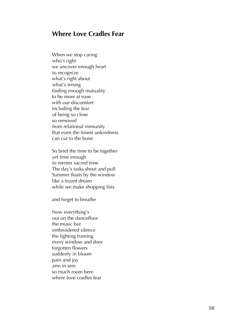## **Where Love Cradles Fear**

When we stop caring who's right we uncover enough heart to recognize what's right about what's wrong finding enough mutuality to be more at ease with our discomfort including the fear of being so close so removed from relational immunity that even the tiniest unkindness can cut to the bone

So brief the time to be together yet time enough to reenter sacred time The day's tasks shout and pull Summer floats by the window like a truant dream while we make shopping lists

and forget to breathe

Now everything's out on the dancefloor the music but embroidered silence the lighting framing every window and door forgotten flowers suddenly in bloom pain and joy arm in arm so much room here where love cradles fear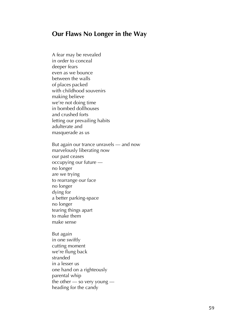### **Our Flaws No Longer in the Way**

A fear may be revealed in order to conceal deeper fears even as we bounce between the walls of places packed with childhood souvenirs making believe we're not doing time in bombed dollhouses and crushed forts letting our prevailing habits adulterate and masquerade as us But again our trance unravels — and now marvelously liberating now our past ceases occupying our future no longer are we trying to rearrange our face no longer dying for a better parking -space no longer tearing things apart to make them make sense But again

in one swiftly cutting moment we're flung back stranded in a lesser us one hand on a righteously parental whip the other — so very young heading for the candy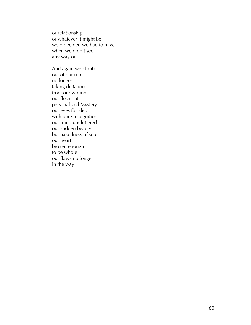or relationship or whatever it might be we'd decided we had to have when we didn't see any way out

And again we climb out of our ruins no longer taking dictation from our wounds our flesh but personalized Mystery our eyes flooded with bare recognition our mind uncluttered our sudden beauty but nakedness of soul our heart broken enough to be whole our flaws no longer in the way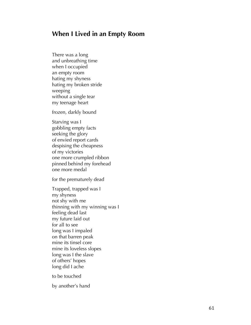#### **When I Lived in an Empty Room**

There was a long and unbreathing time when I occupied an empty room hating my shyness hating my broken stride weeping without a single tear my teenage heart

frozen, darkly bound

Starving was I gobbling empty facts seeking the glory of envied report cards despising the cheapness of my victories one more crumpled ribbon pinned behind my forehead one more medal

for the prematurely dead

Trapped, trapped was I my shyness not shy with me thinning with my winning was I feeling dead last my future laid out for all to see<br>long was I impaled on that barren peak mine its tinsel core mine its loveless slopes long was I the slave of others' hopes long did I ache

to be touched

by another's hand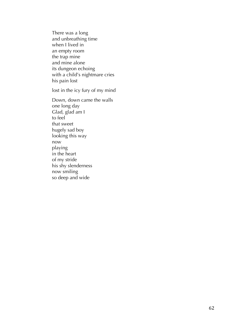There was a long and unbreathing time when I lived in an empty room the trap mine and mine alone its dungeon echoing with a child's nightmare cries his pain lost

lost in the icy fury of my mind

Down, down came the walls one long day Glad, glad am I to feel that sweet hugely sad boy looking this way now playing in the heart of my stride his shy slenderness now smiling so deep and wide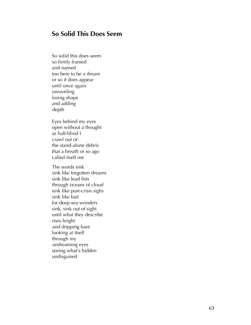## **So Solid This Does Seem**

So solid this does seem so firmly framed and named too here to be a dream or so it does appear until once again unraveling losing shape and adding depth

Eyes behind my eyes open without a thought as half -blind I crawl out of the stand -alone debris that a breath or so ago called itself me

The words sink sink like forgotten dreams sink like lead fists<br>through oceans of cloud sink like post-crisis sighs sink like bait<br>for deep-sea wonders sink, sink out of sight until what they describe rises bright and dripping bare looking at itself<br>through my undreaming eyes seeing what's hidden undisguised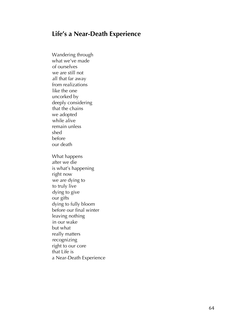# **Life's a Near-Death Experience**

Wandering through what we've made of ourselves we are still not all that far away from realizations like the one uncorked by deeply considering that the chains we adopted while alive remain unless shed before our death What happens after we die is what's happening right now we are dying to to truly live dying to give our gifts dying to fully bloom before our final winter leaving nothing in our wake but what really matters recognizing right to our core that Life is a Near-Death Experience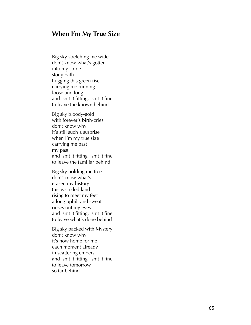#### **When I'm My True Size**

Big sky stretching me wide don't know what's gotten into my stride stony path hugging this green rise carrying me running loose and long and isn't it fitting, isn't it fine to leave the known behind

Big sky bloody -gold with forever's birth -cries don't know why it's still such a surprise when I'm my true size carrying me past my past and isn't it fitting, isn't it fine to leave the familiar behind

Big sky holding me free don't know what's erased my history this wrinkled land rising to meet my feet a long uphill and sweat rinses out my eyes and isn't it fitting, isn't it fine to leave what's done behind

Big sky packed with Mystery don't know why it's now home for me each moment already in scattering embers and isn't it fitting, isn't it fine to leave tomorrow so far behind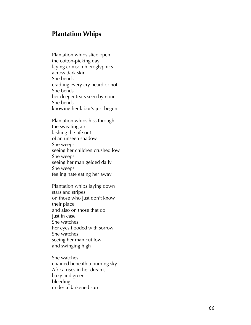#### **Plantation Whips**

Plantation whips slice open the cotton -picking day laying crimson hieroglyphics across dark skin She bends cradling every cry heard or not She bends her deeper tears seen by none She bends knowing her labor's just begun

Plantation whips hiss through the sweating air lashing the life out of an unseen shadow She weeps seeing her children crushed low She weeps seeing her man gelded daily She weeps feeling hate eating her away

Plantation whips laying down stars and stripes on those who just don't know their place and also on those that do just in case She watches her eyes flooded with sorrow She watches seeing her man cut low and swinging high

She watches chained beneath a burning sky Africa rises in her dreams hazy and green bleeding under a darkened sun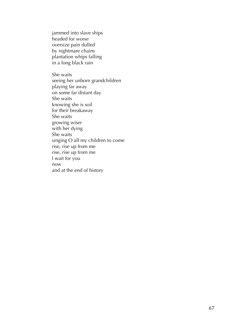jammed into slave ships headed for worse oversize pain dulled by nightmare chains plantation whips falling in a long black rain

She waits seeing her unborn grandchildren playing far away on some far distant day She waits knowing she is soil for their breakaway She waits growing wiser with her dying She waits singing O all my children to come rise, rise up from me rise, rise up from me I wait for you now and at the end of history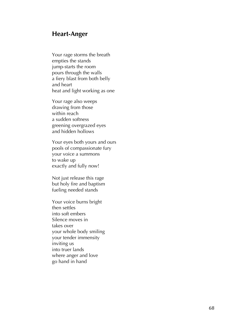#### **Heart -Anger**

Your rage storms the breath empties the stands jump -starts the room pours through the walls a fiery blast from both belly and heart heat and light working as one

Your rage also weeps drawing from those within reach a sudden softness greening overgrazed eyes and hidden hollows

Your eyes both yours and ours pools of compassionate fury your voice a summons to wake up exactly and fully now!

Not just release this rage but holy fire and baptism fueling needed stands

Your voice burns bright then settles into soft embers Silence moves i n takes over<br>your whole body smiling<br>your tender immensity<br>inviting us into truer lands where anger and love go hand in hand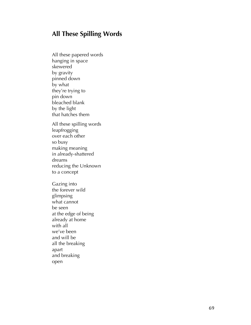# **All These Spilling Words**

All these papered words hanging in space skewered by gravity pinned down by what<br>they're trying to pin down bleached blank<br>by the light that hatches them All these spilling words leapfrogging over each other so busy making meaning in already-shattered dreams reducing the Unknown to a concept Gazing into the forever wild glimpsing what cannot be seen at the edge of being already at home with all we've been and will be all the breaking apart and breaking open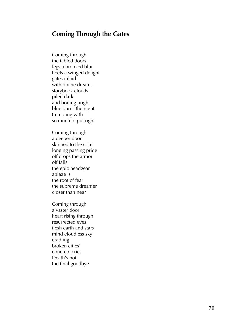# **Coming Through the Gates**

Coming through the fabled door s legs a bronzed blur heels a winged delight gates inlaid with divine dreams storybook clouds piled dark and boiling bright blue burns the night trembling with so much to put right

Coming through a deeper door skinned to the core longing passing pride off drops the armor off falls the epic headgear ablaze is the root of fear the supreme dreamer closer than near

Coming through a vaster door heart rising through resurrected eyes flesh earth and stars mind cloudless sky cradling broken cities' concrete cries Death's not the final goodbye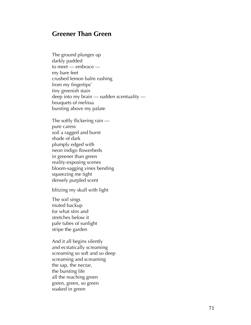### **Greener Than Green**

The ground plunges up darkly padded<br>to meet — embrace my bare feet crushed lemon balm rushing from my fingertips' tiny greenish stain deep into my brain — sudden scentuality bouquets of melissa bursting above my palate

The softly flickering rain pure caress<br>soil a ragged and burnt shade of dark plumply edged with neon indigo flowerbeds in greener than green reality -exposing scenes bloom -sagging vines bending squeezing me tight densely purpled scent

blitzing my skull with light

The soil sings muted backup for what stirs and stretches below it pale tubes of sunlight strip e the garden

And it all begins silently and ecstatically screaming screaming so soft and so deep screaming and screaming the sap, the nectar, the bursting life all the reaching green green, green, so green soaked in green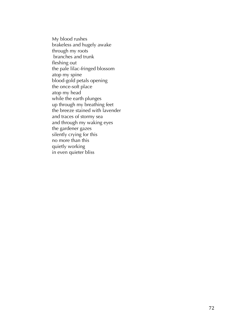My blood rushes brakeless and hugely awake through my roots branches and trunk fleshing out the pale lilac-fringed blossom atop my spine blood-gold petals opening the once-soft place atop my head while the earth plunges up through my breathing feet the breeze stained with lavender and traces of stormy sea and through my waking eyes the gardener gazes silently crying for this no more than this quietly working in even quieter bliss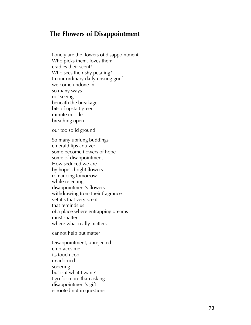#### **The Flowers of Disappointment**

Lonely are the flowers of disappointment Who picks them, loves them cradles their scent? Who sees their shy petaling? In our ordinary daily unsung grief we come undone in so many ways not seeing beneath the breakage bits of upstart green minute missiles breathing open

our too solid ground

So many upflung buddings emerald lips aquiver some become flowers of hope some of disappointment How seduced we are by hope's bright flowers romancing tomorrow while rejecting disappointment's flowers withdrawing from their fragrance yet it's that very scent that reminds us of a place where entrapping dreams must shatter where what really matters

cannot help but matter

Disappointment, unrejected embraces me its touch cool unadorned sobering but is it what I want? I go for more than asking disappointment's gift is rooted not in questions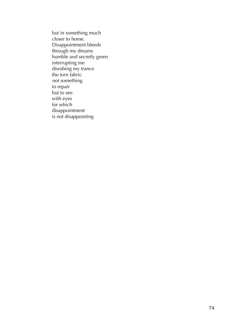but in something much closer to home. Disappointment bleeds through my dreams humble and secretly green interrupting me disrobing my trance the torn fabric not something to repair but to see with eyes for which disappointment is not disappointing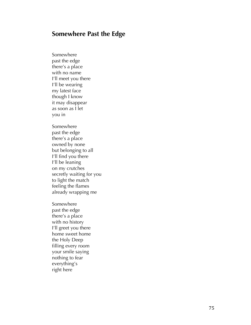#### **Somewhere Past the Edge**

Somewhere past the edge there's a place with no name I'll meet you there I'll be wearing my latest face though I know it may disappear as soon as I let you in

Somewhere past the edge there's a place owned by none but belonging to all I'll find you there I'll be leaning on my crutches secretly waiting for you to light the match feeling the flames already wrapping me

Somewhere past the edge there's a place with no history I'll greet you there home sweet home the Holy Deep filling every room your smile saying nothing to fear everything's right here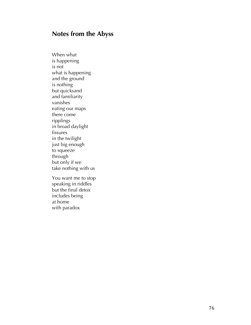# **Notes from the Abyss**

When what is happening is not what is happening and the ground is nothing but quicksand and familiarity vanishes eating our maps there come ripp lings in broad daylight fissures in the twilight just big enough to squeeze through but only if we take nothing with us

You want me to stop speaking in riddles but the final detox includes being at home with paradox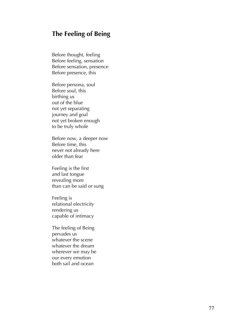# **The Feeling of Being**

Before thought, feeling Before feeling, sensation Before sensation, presence Before presence, this

Before persona, soul Before soul, this birthing us out of the blue not yet separating journey and goal not yet broken enough to be truly whole

Before now, a deeper now Before time, this never not already here older than fear

Feeling is the first and last tongue revealing more than can be said or sung

Feeling is relational electricity rendering us capable of intimacy

The feeling of Being pervades us whatever the scene whatever the dream wherever we may be our every emotion both sail and ocean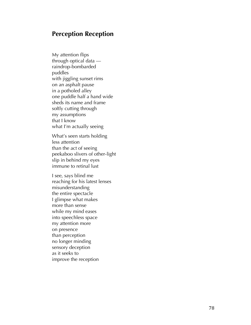#### **Perception Reception**

My attention flips through optical data raindrop -bombarded puddles with jiggling sunset rims on an asphalt pause in a potholed alley one puddle half a hand wide sheds its name and frame softly cutting through my assumptions that I know<br>what I'm actually seeing

What's seen starts holding less attention<br>than the act of seeing<br>peekaboo slivers of other-light slip in behind my eyes immune to retinal lust

I see, says blind me reaching for his latest lenses misunderstanding the entire spectacle I glimpse what makes more than sense while my mind eases into speechless space my attention more on presence than perception no longer minding sensory deception as it seeks to improve the reception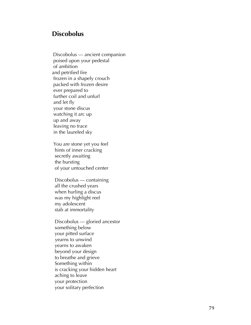# **Discobolus**

 Discobolus — ancient companion poised upon your pedestal of ambition and petrified fire frozen in a shapely crouch packed with frozen desire ever prepared to further coil and unfurl and let fly your stone discus watching it arc up up and away leaving no trace in the laureled sky

> You are stone yet you feel hints of inner cracking secretly awaiting the bursting of your untouched center

 Discobolus — containing all the crushed years when hurling a discus was my highlight reel my adolescent stab at immortality

 Discobolus — gloried ancestor something below your pitted surface yearns to unwind yearns to awaken beyond your design to breathe and grieve Something within is cracking your hidden heart aching to leave your protection your solitary perfection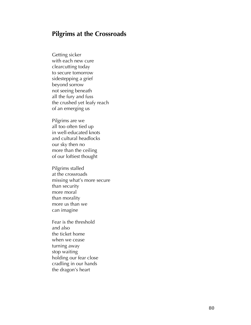# **Pilgrims at the Crossroads**

Getting sicker with each new cure clearcutting today to secure tomorrow sidestepping a grief beyond sorrow not seeing beneath all the fury and fuss the crushed yet leafy reach of an emerging us

Pilgrims are we all too often tied up in well -educated knots and cultural headlocks our sky then no more than the ceiling of our loftiest thought

Pilgrims stalled at the crossroads missing what's more secure than security more moral than morality more us than we can imagine

Fear is the threshold and also the ticket home when we cease turning away stop waiting holding our fear close cradling in our hands the dragon's heart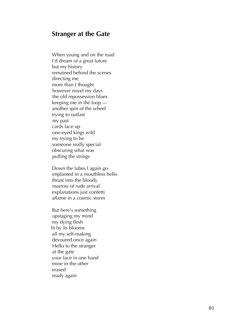#### **Stranger at the Gate**

When young and on the road I'd dream of a great future but my history remained behind the scenes directing me more than I thought however novel my days the old repossession blues keeping me in the loop another spin of the wheel trying to outlast my past cards face up one -eyed kings wild my trying to be someone really special obscuring what was pulling the strings

> Down the tubes I again go implanted in a mouthless hello thrust into the bloody marrow of rude arrival explanations just confetti aflame in a cosmic storm

But here's something upstaging my mind my dying flesh lit by its blooms all my self -making devoured once again Hello to the stranger at the gate your face in one hand mine in the other erased ready again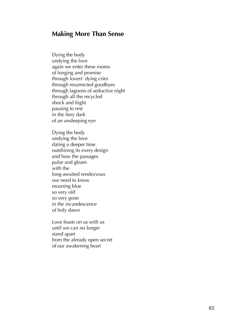## **Making More Than Sense**

Dying the body undying the love again we enter these rooms of longing and promise through lovers' dying cries through resurrected goodbyes through lagoons of seductive night through all the recycled shock and fright pausing to rest in the fiery dark of an unsleeping eye

Dying the body undying the love dating a deeper time outshining its every design and how the passages pulse and gleam with the long -awaited rendezvous our need to know moaning blue so very old so very gone in the incandescence of holy dawn

Love feasts on us with us until we can no longer stand apart<br>from the already open secret<br>of our awakening heart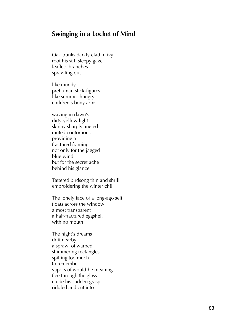## **Swinging in a Locket of Mind**

Oak trunk s darkly clad in ivy root his still sleepy gaze leafless branches sprawling out

like muddy prehuman stick -figures like summer -hungry children's bony arms

waving i n dawn's dirty -yellow light skinny sharply angled mute d contortions providing a fractured framing not only for the jagged blue wind but for the secret ache behind his glance

Tattered birdsong thin and shrill embroidering the winter chill

The lonely face of a long -ago self floats across the window almost transparent a half-fractured eggshell with no mouth

The night's dreams drift nearby a sprawl of warped shimmering rectangles spilling too much to remember<br>vapors of would-be meaning flee through the glass elude his sudden grasp riddled and cut into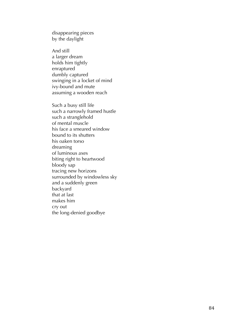disappearing pieces by the daylight

And still a larger dream holds him tightly enraptured<br>dumbly captured swinging in a locket of mind ivy-bound and mute assuming a wooden reach

Such a busy still life such a narrowly framed hustle such a stranglehold of mental muscle his face a smeared window bound to its shutters his oaken torso dreaming of luminous axes biting right to heartwood bloody sap tracing new horizons surrounded by windowless sky and a suddenly green backyard<br>that at last makes him cry out the long -denied goodbye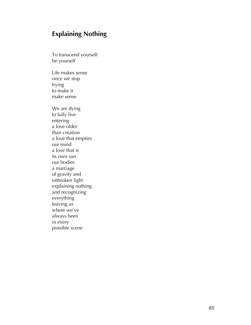# **Explaining Nothing**

To transcend yourself be yourself

Life makes sense once we stop trying<br>to make it make sense

We are dying to fully live entering a love older than creation a love that empties our mind a love that is its own sun our bodies a marriage of gravity and unbroken light explaining nothing and recognizing everything leaving us where we've always been in every possible scene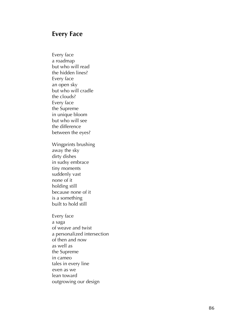#### **Every Face**

Every face a roadmap<br>but who will read the hidden lines? Every face an open sky<br>but who will cradle the clouds? Every face the Supreme in unique bloom but who will see the difference between the eyes ? Wingprints brushing away the sky dirty dishes in sudsy embrace tiny moments suddenly vast none of it holding still because none of it is a something built to hold still Every face a saga of weave and twist a personalized intersection of then and now as well as the Supreme in cameo tales in every line even as we lean toward outgrowing our design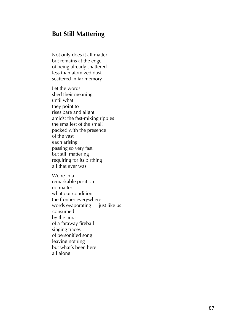# **But Still Mattering**

Not only does it all matter but remains at the edge of being already shattered less than atomized dust scattered in far memory

Let the words shed their meaning until what they point to rises bare and alight amidst the fast-mixing ripples the smallest of the small packed with the presence of the vast each arising passing so very fast but still mattering requiring for its birthing all that ever was

We're in a remarkable position no matter what our condition the frontier everywhere words evaporating — just like us consumed by the aura of a faraway fireball singing traces of personified song leaving nothing but what's been here all along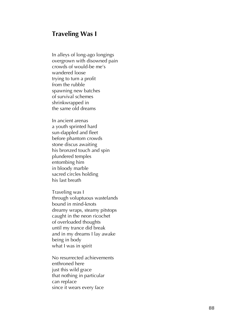#### **Traveling Was I**

In alleys of long -ago longings overgrown with disowned pain crowds of would -be me's wandered loose trying to turn a profit from the rubble spawning new batches of survival schemes shrinkwrapped in the same old dreams

In ancient arenas a youth sprinted hard sun-dappled and fleet before phantom crowds stone discus awaiting his bronzed touch and spin plundered temples entombing him<br>in bloody marble<br>sacred circles holding his last breath

Traveling was I through voluptuous wastelands bound in mind -knots dreamy wraps, steamy pitstops caught in the neon ricochet of overloaded thoughts until my trance did break and in my dreams I lay awake being in body what I was in spirit

No resurrected achievements enthroned here just this wild grace that nothing in particular can replace since it wears every face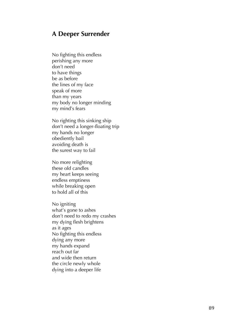#### **A Deeper Surrender**

No fighting this endless perishing any more don't need to have things be as before the lines of my face speak of more than my years my body no longer minding my mind's fears

No righting this sinking ship don't need a longer -floating trip my hands no longer obediently bail avoiding death is the surest way to fail

No more relighting these old candles my heart keeps seeing endless emptiness while breaking open to hold all of this

No igniting what's gone to ashes don't need to redo my crashes my dying flesh brightens as it ages No fighting this endless dying any more my hands expand reach out far and wide then return the circle newly whole dying into a deeper life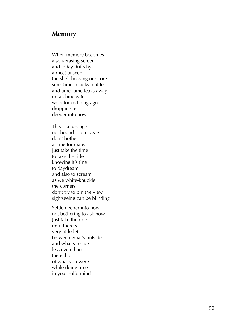#### **Memory**

When memory becomes a self -erasing screen and today drifts by almost unseen the shell housing our core sometimes cracks a little and time, time leaks away unlatching gates we'd locked long ago dropping us deeper into now

This is a passage not bound to our years don't bother asking for maps just take the time to take the ride knowing it's fine to daydream and also to scream as we white-knuckle the corners don't try to pin the view sightseeing can be blinding

Settle deeper into now not bothering to ask how Just take the ride until there's very little left between what's outside<br>and what's inside less even than the echo<br>of what you were while doing time in your solid mind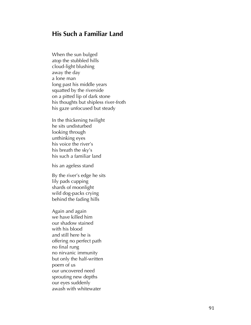# **His Such a Familiar Land**

When the sun bulged atop the stubbled hills cloud -light blushing away the day a lone man long past his middle years squatted by the riverside on a pitted lip of dark stone<br>his thoughts but shipless river-froth his gaze unfocused but steady

In the thickening twilight he sits undisturbed looking through unthinking eyes his voice the river's his breath the sky's his such a familiar land

his an ageless stand

By the river's edge he sits lily pads cupping shards of moonlight wild dog-packs crying behind the fading hills

Again and again we have killed him our shadow stained with his blood and still here he is offering no perfect path no final rung no nirvanic immunity but only the half-written poem of us our uncovered need sprouting new depth s our eyes suddenly awash with whitewater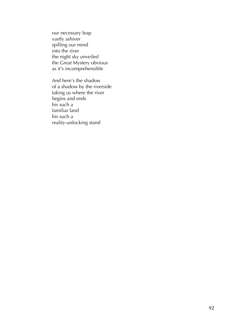our necessary leap vastly ashiver spilling our mind into the river the night sky unveiled the Great Mystery obvious as it's incomprehensible

And here's the shadow of a shadow by the riverside taking us where the river begins and ends his such a familiar land his such a reality-unlocking stand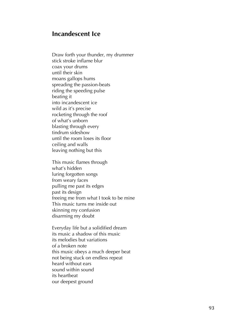#### **Incandescent Ice**

Draw forth your thunder, my drummer stick stroke inflame blur coax your drums until their skin moans gallops hums spreading the passion -beats riding the speeding pulse beating it into incandescent ice wild as it's precise rocketing through the roof of what's unborn blasting through every tindrum sideshow until the room loses its floor ceiling and walls leaving nothing but this

This music flames through what's hidden luring forgotten songs from weary faces pulling me past its edges past its design freeing me from what I took to be mine This music turns me inside out skinning my confusion disarming my doubt

Everyday life but a solidified dream its music a shadow of this music its melodies but variations of a broken note this music obeys a much deeper beat not being stuck on endless repeat heard without ears sound within sound its heartbeat our deepest ground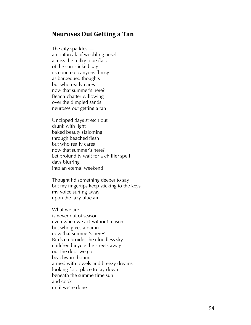## **Neuroses Out Getting a Tan**

The city sparkles an outbreak of wobbling tinsel across the milky blue flats of the sun -slicked bay its concrete canyons flimsy as barbequed thoughts but who really cares now that summer's here ? Beach -chatter willowing over the dimpled sands neuroses out getting a tan

Unzipped days stretch out drunk with light baked beauty slaloming through beached flesh but who really cares now that summer's here ? Let profundity wait for a chillier spell days blurring into an eternal weekend

Thought I'd something deeper to say but my fingertips keep sticking to the keys my voice surfing away upon the lazy blue air

What we are is never out of season even when we act without reason but who gives a damn now that summer's here ? Birds embroider the cloudless sky children bicycle the streets away out the door we go beachward bound armed with towels and breezy dreams looking for a place to lay down beneath the summertime sun and cook until we're done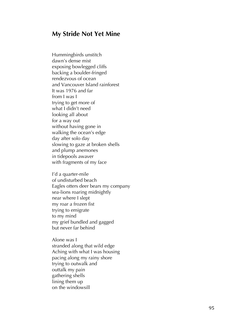#### **My Stride Not Yet Mine**

Hummingbirds unstitch dawn's dense mist exposing bowlegged cliffs backing a boulder -fringed rendezvous of ocean and Vancouver Island rainforest It was 1976 and far from I was I trying to get more of what I didn't need looking all about for a way out without having gone in walking the ocean's edge day after solo day slowing to gaze at broken shells and plump anemones in tidepools awaver with fragments of my face

I'd a quarter -mile of undisturbed beach Eagles otters deer bears my company sea-lions roaring midnightly near where I slept my roar a frozen fist trying to emigrate to my mind my grief bundled and gagged but never far behind

Alone was I stranded along that wild edge Aching with what I was housing pacing along my rainy shore trying to outwalk and outtalk my pain gathering shells lining them up on the windowsill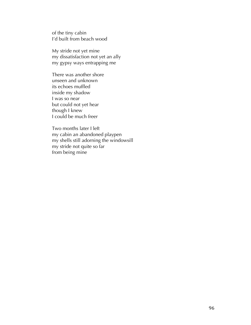of the tiny cabin I'd built from beach wood

My stride not yet mine my dissatisfaction not yet an ally my gypsy ways entrapping me

There was another shore unseen and unknown its echoes muffled inside my shadow I was so near but could not yet hear though I knew I could be much freer

Two months later I left my cabin an abandoned playpen my shells still adorning the windowsill my stride not quite so far from being mine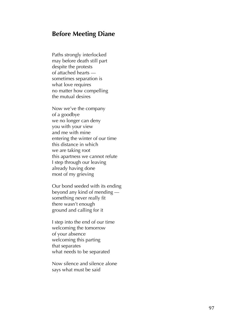#### **Before Meeting Diane**

Paths strongly interlocked may before death still part despite the protests of attached heart s sometimes separation is what love requires no matter how compelling the mutual desires

Now we've the company of a goodbye we no longer can deny you with your view and me with mine entering the winter of our time this distance in which we are taking root this apartness we cannot refute I step through our leaving already having done most of my grieving

Our bond seeded with its ending beyond any kind of mending something never really fit there wasn't enough ground and calling for it

I step into the end of our time welcoming the tomorrow of your absence welcoming this parting that separates what needs to be separated

Now silence and silence alone says what must be said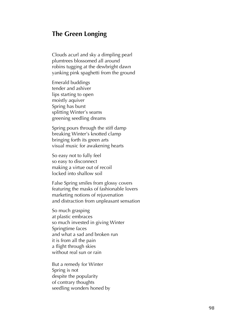#### **The Green Longing**

Clouds acurl and sky a dimpling pearl plumtrees blossomed all around robins tugging at the dewbright dawn yanking pink spaghetti from the ground

Emerald buddings tender and ashiver lips starting to open moistly aquiver Spring has burst splitting Winter's seams greening seedling dreams

Spring pours through the stiff damp breaking Winter's knotted clamp bringing forth its green arts visual music for awakening hearts

So easy not to fully feel so easy to disconnect making a virtue out of recoil locked into shallow soil

False Spring smiles from glossy covers featuring the masks of fashionable lovers marketing notions of rejuvenation and distraction from unpleasant sensation

So much grasping at plastic embrace s so much invested in giving Winter Springtime face s and what a sad and broken run it is from all the pain a flight through skies without real sun or rain

But a remedy for Winter Spring is not despite the popularity of contrary thoughts seedling wonder s honed by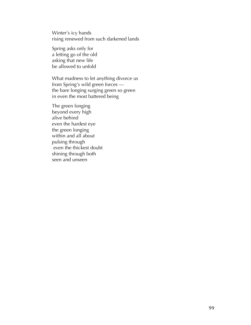Winter's icy hands rising renewed from such darkened lands

Spring asks only for a letting go of the old asking that new life be allowed to unfold

What madness to let anything divorce us from Spring's wild green forces the bare longing surging green so green in even the most battered being

The green longing beyond every high alive behind even the hardest eye the green longing within and all about pulsing through even the thickest doubt shining through both seen and unseen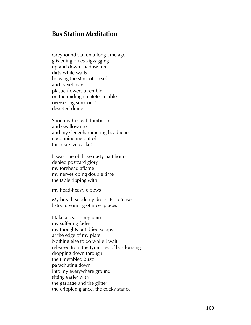## **Bus Station Meditation**

Greyhound station a long time ago glistening blues zigzagging up and down shadow-free dirty white walls housing the stink of diesel and trave l fears plastic flowers atremble on the midnight cafeteria table overseeing someone's deserted dinner

Soon my bus will lumber in and swallow me and my sledgehammering headache cocooning me out of this massive casket

It was one of those nasty half hours denied postcard glory my forehead aflame my nerves doing double time the table tipping with

my head -heavy elbows

My breath suddenly drops its suitcases I stop dreaming of nicer places

I take a seat in my pain my suffering fades my thoughts but dried scraps at the edge of my plate . Nothing else to do while I wait released from the tyrannies of bus -longing dropping down through the timetabled buzz parachuting down into my everywhere ground sitting easier with the garbage and the glitter the crippled glance, the cocky stance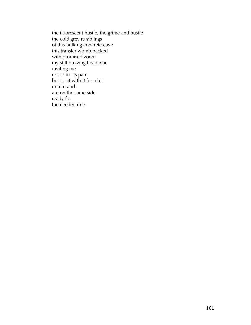the fluorescent hustle, the grime and bustle the cold grey rumblings of this hulking concrete cave this transfer womb packed with promised zoom my still buzzing headache inviting me not to fix its pain but to sit with it for a bit until it and I are on the same side ready for the needed ride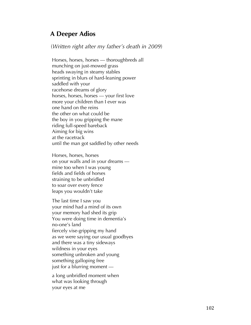# **A Deeper Adios**

(*Written right after my father's death in 2009*)

Horses, horses, horses — thoroughbreds all munching on just-mowed grass heads swaying in steamy stables sprinting in blurs of hard-leaning power saddled with your racehorse dreams of glory horses, horses, horses — your first love more your children than I ever was one hand on the reins the other on what could be the boy in you gripping the mane riding full-speed bareback Aiming for big wins at the racetrack until the man got saddled by other needs

Horses, horses, horses on your walls and in your dreams mine too when I was young fields and fields of horses straining to be unbridled to soar over every fence leaps you wouldn't take

The last time I saw you your mind had a mind of its own your memory had shed its grip You were doing time in dementia's no-one's land fiercely vise-gripping my hand as we were saying our usual goodbyes and there was a tiny sideways wildness in your eyes something unbroken and young something galloping free just for a blurring moment —

a long unbridled moment when what was looking through your eyes at me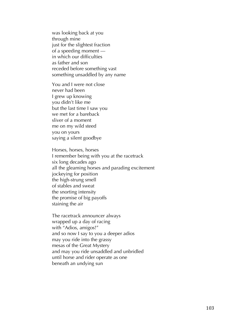was looking back at you through mine just for the slightest fraction of a speeding moment in which our difficulties as father and son receded before something vast something unsaddled by any name

You and I were not close never had been I grew up knowing you didn't like me but the last time I saw you we met for a bareback sliver of a moment me on my wild steed you on yours saying a silent goodbye

Horses, horses, horses I remember being with you at the racetrack six long decades ago all the gleaming horses and parading excitement jockeying for position the high-strung smell of stables and sweat the snorting intensity the promise of big payoffs staining the air

The racetrack announcer always wrapped up a day of racing with "Adios, amigos!" and so now I say to you a deeper adios may you ride into the grassy mesas of the Great Mystery and may you ride unsaddled and unbridled until horse and rider operate as one beneath an undying sun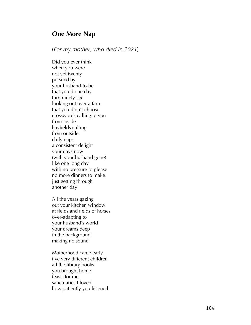# **One More Nap**

(*For my mother, who died in 2021* )

Did you ever think when you were not yet twenty pursued by your husband -to -be that you'd one day turn ninety -six looking out over a farm that you didn't choose crosswords calling to you from inside hayfields calling from outside daily naps a consistent delight your days now (with your husband gone) like one long day with no pressure to please no more dinners to make just getting through another day

All the years gazing out your kitchen window at fields and fields of horses over -adapting to your husband's world your dreams deep in the background making no sound

Motherhood came early five very different children all the library books you brought home feasts for me sanctuaries I loved how patiently you listened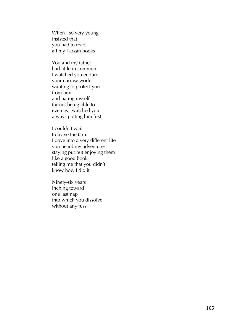When I so very young insisted that you had to read all my Tarzan books

You and my father had little in common I watched you endure your narrow world wanting to protect you from him and hating myself for not being able to even as I watched you always putting him first

I couldn't wait to leave the farm I dove into a very different life you heard my adventures staying put but enjoying them like a good book telling me that you didn't know how I did it

Ninety -six years inching toward one last nap into which you dissolve without any fuss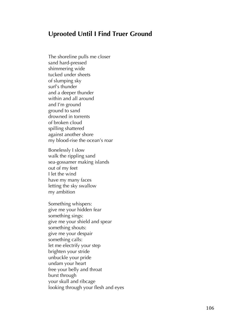# **Uprooted Until I Find Truer Ground**

The shoreline pulls me close r sand hard -pressed shimmering wide tucked under sheets of slumping sky surf's thunder and a deeper thunder within and all around and I'm ground ground to sand drowned in torrents of broken cloud spilling shattered against another shore my blood-rise the ocean's roar

Bonelessly I slow walk the rippling sand sea-gossamer making islands out of my feet I let the wind have my many faces letting the sky swallow my ambition

Something whisper s: give me your hidden fear something sings: give me your shield and spear something shout s: give me your despair something call s: let me electrify your step brighten your stride unbuckle your pride undam your heart free your belly and throat burst through your skull and ribcage looking through your flesh and eyes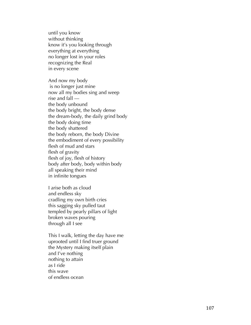until you know without thinking know it's you looking through everything at everything no longer lost in your role s recognizing the Real in every scene

And now my body is no longer just mine now all my bodies sing and weep rise and fall the body unbound the body bright, the body dense the dream-body, the daily grind body the body doing time the body shattered the body reborn, the body Divine the embodiment of every possibility flesh of mud and stars flesh of gravity flesh of joy, flesh of history body after body, body within body all speaking their mind in infinite tongues

I arise both as cloud and endless sky cradling my own birth cries this sagging sky pulled taut templed by pearly pillars of light broken waves pouring through all I see

This I walk, letting the day have me uprooted until I find truer ground the Mystery making itself plain and I've nothing nothing to attain as I ride this wave of endless ocean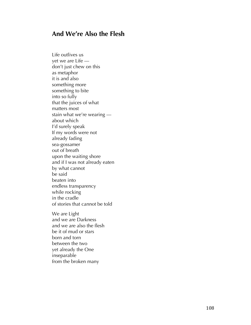# **And We're Also the Flesh**

Life outlives us yet we are Life don't just chew on this as metaphor it is and also something more something to bite into so fully that the juices of what matters most stain what we're wearing about which I'd surely speak If my words were not already fading sea-gossamer out of breath upon the waiting shore and if I was not already eaten by what cannot be said beaten into endless transparency while rocking in the cradle of stories that cannot be told

We are Light and we are Darkness and we are also the flesh be it of mud or stars born and torn between the two yet already the One inseparable from the broken many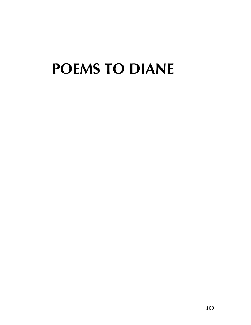# **POEMS TO DIANE**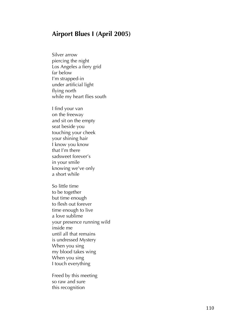## **Airport Blues I (April 2005)**

Silver arrow piercing the night Los Angeles a fiery grid far below I'm strapped -in under artificial light flying north while my heart flies south

I find your van on the freeway and sit on the empty seat beside you touching your cheek your shining hair I know you know that I'm there sadsweet forever's in your smile knowing we've only a short while

So little time to be together but time enough to flesh out forever time enough to live a love sublime your presence running wild inside me until all that remains is undressed Mystery When you sing my blood takes wing When you sing I touch everything

Freed by this meeting so raw and sure this recognition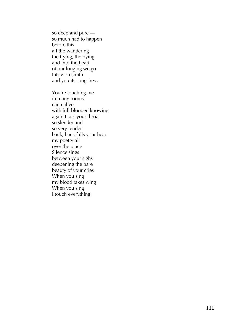so deep and pure so much had to happen before this all the wandering the trying, the dying and into the heart of our longing we go I its wordsmith and you its songstress

You're touching me in many rooms each alive with full -blooded knowing again I kiss your throat so slender and so very tender back, back falls your head my poetry all over the place Silence sings between your sighs deepening the bare beauty of your cries When you sing my blood takes wing When you sing I touch everything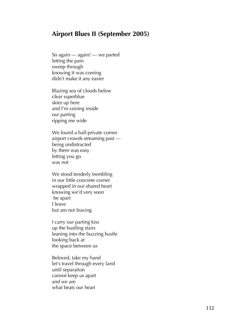## **Airport Blues II (September 2005)**

So again — again! — we parted letting the pain sweep through knowing it was coming didn't make it any easier

Blazing sea of clouds below clear superblue skies up here and I'm raining inside our parting ripping me wide

We found a half-private corner airport crowds streaming past being undistracted by them was easy letting you go was not

We stood tenderly trembling in our little concrete corner wrapped in our shared heart knowing we'd very soon be apart I leave but am not leaving

I carry our parting kiss up the bustling stairs leaning into the buzzing hustle looking back at the space between us

Beloved, take my hand let's travel through every land until separation cannot keep us apart and we are what beats our heart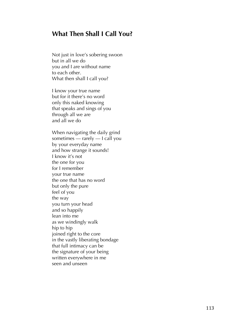# **What Then Shall I Call You?**

Not just in love's sobering swoon but in all we do you and I are without name to each other. What then shall I call you?

I know your true name but for it there's no word only this naked knowing that speaks and sings of you through all we are and all we do

When navigating the daily grind sometimes — rarely — I call you by your everyday name and how strange it sounds! I know it's not the one for you for I remember your true name the one that has no word but only the pure feel of you the way you turn your head and so happily lean into me<br>as we windingly walk hip to hip joined right to the core in the vastly liberating bondage that full intimacy can be the signature of your being written everywhere in me seen and unseen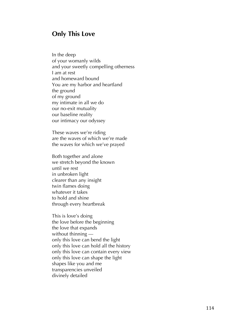## **Only This Love**

In the deep of your womanly wilds and your sweetly compelling otherness I am at rest and homeward bound You are my harbor and heartland the ground of my ground my intimate in all we do our no -exit mutuality our baseline reality our intimacy our odyssey

These waves we 're riding are the waves of which we're made the waves for which we've prayed

Both together and alone we stretch beyond the known until we rest in unbroken light clearer than any insight twin flames doing whatever it takes to hold and shine through every heartbreak

This is love's doing the love before the beginning the love that expands without thinning only this love can bend the light only this love can hold all the history only this love can contain every view only this love can shape the light shapes like you and me transparencies unveiled divinely detailed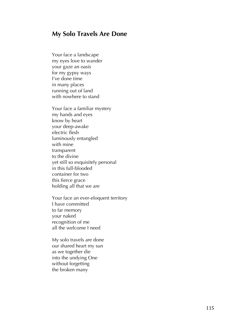## **My Solo Travels Are Done**

Your face a landscape my eyes love to wander your gaze an oasis for my gypsy ways I've done time in many places running out of land with nowhere to stand

Your face a familiar mystery my hands and eyes know by heart your deep -awake electric flesh luminously entangled with mine transparent to the divine yet still so exquisitely personal in this full -blooded container for two this fierce grace holding all that we are

Your face an ever -eloquent territory I have committed to far memory your naked recognition of me all the welcome I need

My solo travels are done our shared heart my sun as we together die into the undying One without forgetting the broken many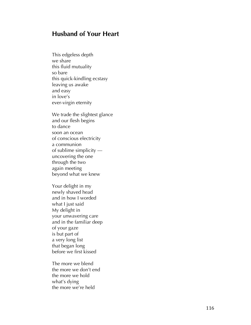# **Husband of Your Heart**

This edgeless depth we share this fluid mutuality so bare this quick -kindling ecstasy leaving us awake and easy in love's ever -virgin eternity

We trade the slightest glance and our flesh begins to dance soon an ocean of conscious electricity a communion of sublime simplicity uncovering the one through the two again meeting beyond what we knew

Your delight in my newly shaved head and in how I worded what I just said My delight in your unwavering care and in the familiar deep of your gaze is but part of a very long list that began long before we first kissed

The more we blend the more we don't end the more we hold what's dying the more we're held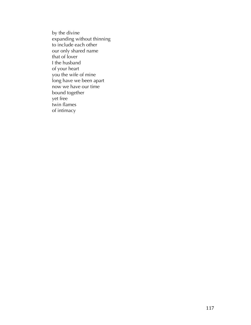by the divine expanding without thinning to include each other our only shared name that of lover I the husband of your heart you the wife of mine long have we been apart now we have our time bound together yet free twin flames of intimacy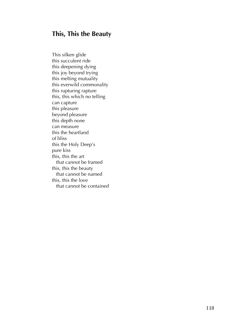# **This, This the Beauty**

This silken glide this succulent ride this deepening dying this joy beyond trying this melting mutuality this everwild commonality this rupturing rapture this, this which no telling can capture this pleasure beyond pleasure this depth none can measure this the heartland of bliss this the Holy Deep's pure kiss this, this the art that cannot be framed this, this the beauty that cannot be named this, this the love that cannot be contained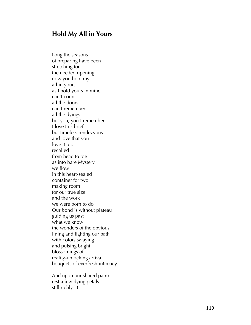## **Hold My All in Yours**

Long the seasons of preparing have been stretching for the needed ripening now you hold my all in yours as I hold yours in mine can't count all the doors can't remember all the dyings but you, you I remember I love this brief but timeless rendezvous and love that you love it too recalled from head to toe as into bare Mystery we flow in this heart -sealed container for two making room for our true size and the work we were born to do Our bond is without plateau guiding us past what we know the wonders of the obvious lining and lighting our path with colors swaying and pulsing bright blossomings of reality -unlocking arrival bouquets of everfresh intimacy

And upon our shared palm rest a few dying petals still richly lit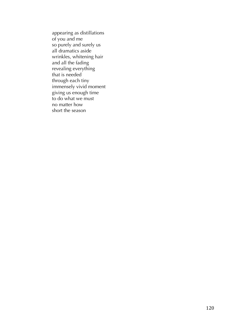appearing as distillations of you and me so purely and surely us all dramatics aside wrinkles, whitening hair and all the fading revealing everything that is needed through each tiny immensely vivid moment giving us enough time to do what we must no matter how short the season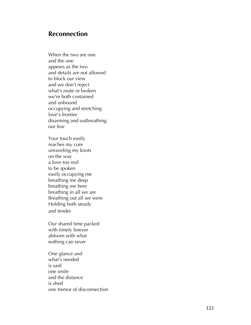# **Reconnection**

When the two are one and the one appears as the two and details are not allowed to block our view and we don't reject what's mute or broken we're both contained and unbound occupying and stretching love's frontier disarming and outbreathing our fear

Your touch easily reaches my core unraveling my knots on the way a love too real to be spoken easily occupying me breathing me deep breathing me here breathing in all we are Breathing out all we were Holding both steady and tender

Our shared time packed with timely forever abloom with what nothing can sever

One glance and what's needed is said one smile and the distance is shed one tremor of disconnection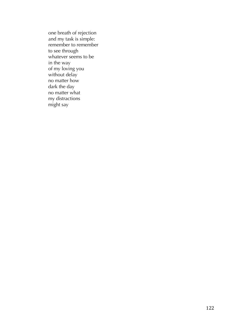one breath of rejection and my task is simple: remember to remember to see through whatever seems to be in the way of my loving you without delay no matter how dark the day no matter what my distractions might say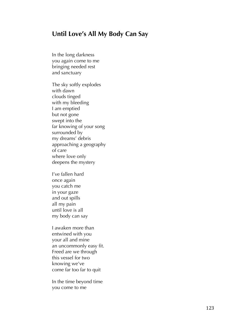## **Until Love's All My Body Can Say**

In the long darkness you again come to me bringing needed rest and sanctuary

The sky softly explodes with dawn clouds tinged with my bleeding I am emptied but not gone swept into the far knowing of your song surrounded by my dreams' debris approaching a geography of care where love only deepens the mystery

I've fallen hard once again you catch me in your gaze and out spills all my pain until love is all my body can say

I awaken more than entwined with you your all and mine an uncommonly easy fit. Freed are we through this vessel for two knowing we've come far too far to quit

In the time beyond time you come to me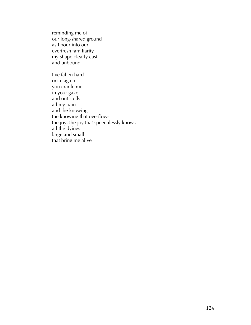reminding me of our long-shared ground as I pour into our everfresh familiarity my shape clearly cast and unbound

I've fallen hard once again you cradle me in your gaze and out spills all my pain and the knowing the knowing that overflows the joy, the joy that speechlessly knows all the dyings large and small that bring me alive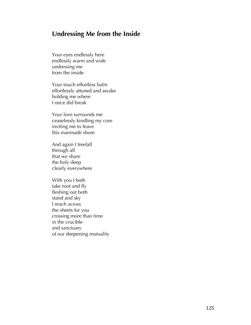# **Undressing Me from the Inside**

Your eyes endlessly here endlessly warm and wide undressing me from the inside

Your touch effortless balm effortlessly attuned and awake holding me where I once did break

Your love surrounds me ceaselessly kindling my core inviting me to leave this manmade shore

And again I freefall through all that we share the holy deep clearly everywhere

With you I both take root and fly fleshing out both stand and sky I reach across the sheets for you crossing more than time in the crucible and sanctuary of our deepening mutuality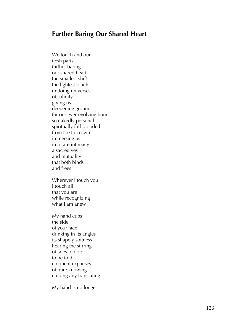# **Further Baring Our Shared Heart**

We touch and our flesh parts further baring our shared heart the smallest shift the lightest touch undoing universes of solidity giving us deepening ground for our ever -evolving bond so nakedly personal spiritually full -blooded from toe to crown immersing us in a rare intimacy a sacred yes and mutuality that both binds and frees

Wherever I touch you I touch all that you are while recognizing what I am anew

My hand cups the side of your face drinking in its angles its shapely softness hearing the stirring of tales too old to be told eloquent expanses of pure knowing eluding any translating

My hand is no longer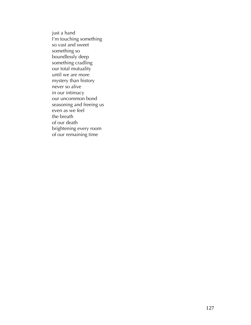just a hand I'm touching something so vast and sweet something so boundlessly deep something cradling our total mutuality until we are more mystery than history never so alive in our intimacy our uncommon bond seasoning and freeing us even as we feel the breath of our death brightening every room of our remaining time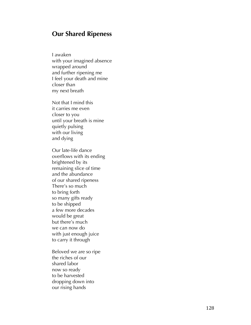## **Our Shared Ripeness**

I awaken with your imagined absence wrapped around and further ripening me I feel your death and mine closer than my next breath

Not that I mind this it carries me even closer to you until your breath is mine quietly pulsing with our living and dying

Our late -life dance overflows with its ending brightened by its remaining slice of time and the abundance of our shared ripeness There's so much to bring forth so many gifts ready to be shipped a few more decades would be great but there's much we can now do with just enough juice to carry it through

Beloved we are so ripe the riches of our shared labor now so ready to be harvested dropping down into our rising hands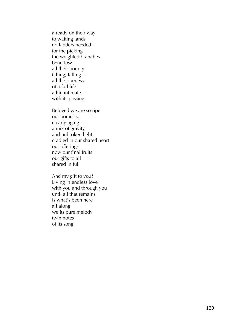already on their way to waiting lands no ladders needed for the picking the weighted branches bend low<br>all their bounty falling, falling all the ripeness of a full life a life intimate with its passing

Beloved we are so ripe our bodies so clearly aging a mix of gravity and unbroken light cradled in our shared heart our offerings now our final fruits our gifts to all shared in full

And my gift to you? Living in endless love with you and through you until all that remains is what's been here all along we its pure melody twin notes of its song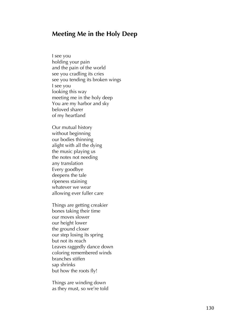## **Meeting Me in the Holy Deep**

I see you holding your pain and the pain of the world see you cradling its cries see you tending its broken wings I see you looking this way meeting me in the holy deep You are my harbor and sky beloved sharer of my heartland

Our mutual history without beginning our bodies thinning alight with all the dying the music playing us the notes not needing any translation Every goodbye deepens the tale ripeness staining whatever we wear allowing ever fuller care

Things are getting creakier bones taking their time our moves slower our height lower the ground closer our step losing its spring but not its reach Leaves raggedly dance down coloring remembered winds branches stiffen sap shrinks but how the roots fly!

Things are winding down as they must, so we're told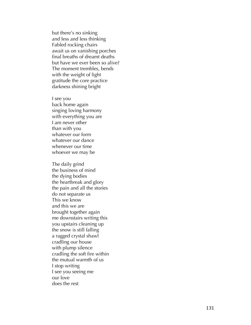but there's no sinking and less and less thinking Fabled rocking chairs await us on vanishing porches final breaths of dreamt deaths but have we ever been so alive? The moment trembles, bends with the weight of light gratitude the core practice darkness shining bright

I see you back home again singing loving harmony with everything you are I am never other than with you whatever our form whatever our dance whenever our time whoever we may be

The daily grind the business of mind the dying bodies the heartbreak and glory the pain and all the stories do not separate us This we know and this we are brought together again me downstairs writing this you upstairs cleaning up the snow is still falling a ragged crystal shawl cradling our house with plump silence cradling the soft fire within the mutual warmth of us I stop writing I see you seeing me our love does the rest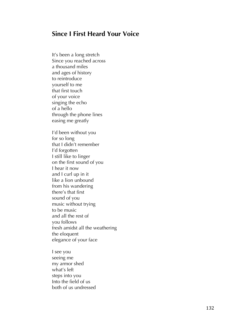# **Since I First Heard Your Voice**

It's been a long stretch Since you reached across a thousand miles and ages of history to reintroduce yourself to me that first touch of your voice singing the echo of a hello through the phone lines easing me greatly I'd been without you for so long that I didn't remember I'd forgotten I still like to linger<br>on the first sound of you I hear it now and I curl up in it like a lion unbound from his wandering there's that first sound of you music without trying to be music and all the rest of you follows fresh amidst all the weathering the eloquent elegance of your face

I see you seeing me my armor shed what's left steps into you Into the field of us both of us undressed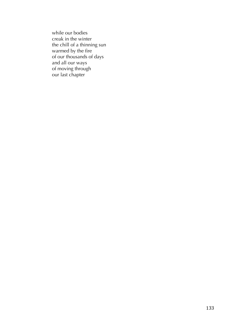while our bodies creak in the winter the chill of a thinning sun warmed by the fire of our thousands of days and all our ways of moving through our last chapter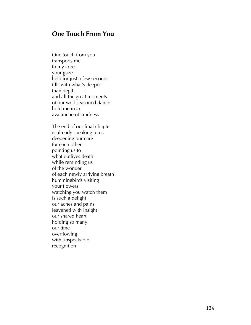## **One Touch From You**

One touch from you transports me<br>to my core your gaze held for just a few seconds fills with what's deeper th an depth and all the great moments of our well-seasoned dance hold me in an avalanche of kindness

The end of our final chapter is already speaking to us deepening our care for each other pointing us to what outlives death while reminding us of the wonder of each newly arriving breath hummingbirds visiting your flowers watching you watch them is such a delight our aches and pains leavened with insight our shared heart holding so many our time overflowing with unspeakable recognition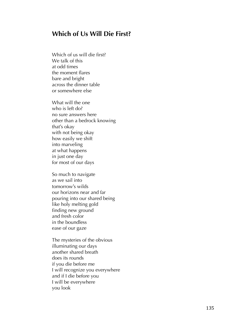# **Which of Us Will Die First?**

Which of us will die first? We talk of this at odd times the moment flares bare and bright across the dinner table or somewhere else

What will the one who is left do? no sure answers here other than a bedrock knowing that's okay with not being okay how easily we shift into marveling at what happens in just one day for most of our days

So much to navigate as we sail into tomorrow 's wilds our horizons near and far pouring into our shared being like holy melting gold finding new ground and fresh color in the boundless ease of our gaze

The mysteries of the obvious illuminating our days another shared breath does its rounds if you die before me I will recognize you everywhere and if I die before you I will be everywhere you look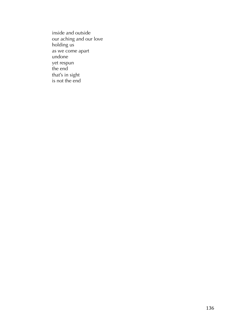inside and outside our aching and our love holding us as we come apart undone yet respun the end that's in sight is not the end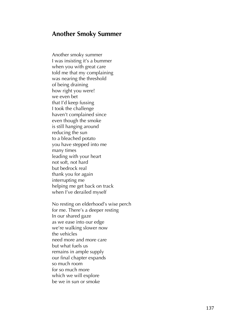## **Another Smoky Summer**

Another smoky summer I was insisting it's a bummer when you with great care told me that my complaining was nearing the threshold of being draining how right you were! we even bet that I'd keep fussing I took the challenge haven't complained since even though the smoke is still hanging around reducing the sun to a bleached potato you have stepped into me many times leading with your heart not soft, not hard but bedrock real thank you for again interrupting me helping me get back on track when I've derailed myself

No resting on elderhood's wise perch for me. There's a deeper resting In our shared gaze as we ease into our edge we're walking slower now the vehicles need more and more care but what fuels us<br>remains in ample supply our final chapter expands so much room for so much more which we will explore be we in sun or smoke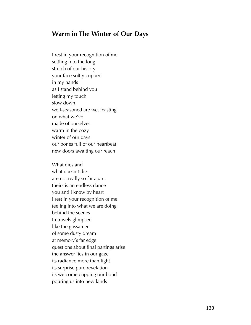## **Warm in The Winter of Our Days**

I rest in your recognition of me settling into the long stretch of our history your face softly cupped in my hands as I stand behind you letting my touch slow down well-seasoned are we, feasting on what we've made of ourselves warm in the cozy winter of our days our bones full of our heartbeat new doors awaiting our reach

What dies and what doesn't die are not really so far apart theirs is an endless dance you and I know by heart I rest in your recognition of me feeling into what we are doing behind the scenes In travels glimpsed like the gossamer of some dusty dream at memory's far edge questions about final partings arise the answer lies in our gaze its radiance more than light its surprise pure revelation its welcome cupping our bond pouring us into new lands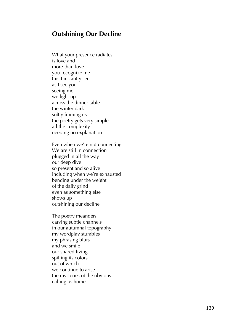## **Outshining Our Decline**

What your presence radiates is love and more than love you recognize me this I instantly see as I see you seeing me we light up across the dinner table the winter dark softly framing us the poetry gets very simple all the complexity needing no explanation

Even when we're not connecting We are still in connection plugged in all the way our deep dive so present and so alive including when we're exhausted bending under the weight of the daily grind even as something else shows up outshining our decline

The poetry meanders carving subtle channels in our autumnal topography my wordplay stumbles my phrasing blurs and we smile our shared living spilling its colors out of which we continue to arise the mysteries of the obvious calling us home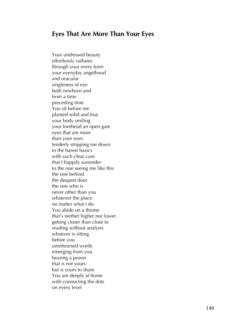# **Eyes That Are More Than Your Eyes**

Your undressed beauty effortlessly radiates through your every form your everyday angelhood and oracular singleness of eye both newborn and from a time preceding time You sit before me planted solid and true your body smiling your forehead an open gate eyes that are more than your eyes tenderly stripping me down to the barest basics with such clear care that I happily surrender to the one seeing me like this the one behind the deepest door the one who is never other than you whatever the place no matter what I do You abide on a throne that's neither higher nor lower getting closer than close to reading without analysis whoever is sitting before you unrehearsed words emerging from you bearing a power that is not yours but is yours to share You are deeply at home with connecting the dots on every level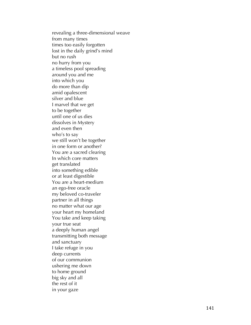revealing a three -dimensional weave from many times times too easily forgotten lost in the daily grind's mind but no rush no hurry from you a timeless pool spreading around you and me into which you do more than dip amid opalescent silver and blue I marvel that we get to be together until one of us dies dissolves in Mystery and even then who's to say we still won't be together in one form or another? You are a sacred clearing In which core matters get translated into something edible or at least digestible You are a heart -medium an ego -free oracle my beloved co -traveler partner in all things no matter what our age your heart my homeland You take and keep taking your true seat a deeply human angel transmitting both message and sanctuary I take refuge in you deep currents of our communion ushering me down to home ground big sky and all the rest of it in your gaze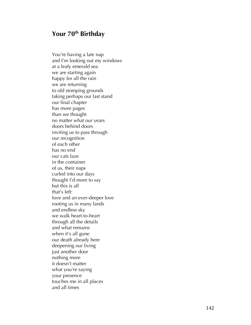# **Your 70th Birthday**

You're having a late nap and I'm looking out my windows at a leafy emerald sea we are starting again happy for all the rain we are returning to old stomping grounds taking perhaps our last stand our final chapter has more pages than we thought no matter what our years doors behind doors inviting us to pass through our recognition of each other has no end our cats laze in the container of us, their naps curled into our days thought I'd more to say but this is all that's left: love and an ever-deeper love rooting us in many lands and endless sky we walk heart-to -heart through all the details and what remains when it's all gone our death already here deepening our living just another door nothing more it doesn't matter what you're saying your presence touches me in all places and all times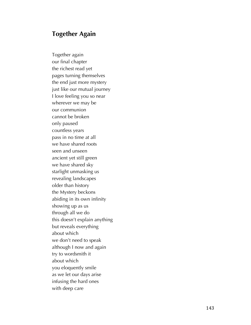# **Together Again**

Together again our final chapter the richest read yet pages turning themselves the end just more mystery just like our mutual journey I love feeling you so near wherever we may be our communion cannot be broken only paused countless years pass in no time at all we have shared roots seen and unseen ancient yet still green we have shared sky starlight unmasking us revealing landscapes older than history the Mystery beckons abiding in its own infinity showing up as us through all we do this doesn't explain anything but reveals everything about which we don't need to speak although I now and again try to wordsmith it about which you eloquently smile as we let our days arise infusing the hard ones with deep care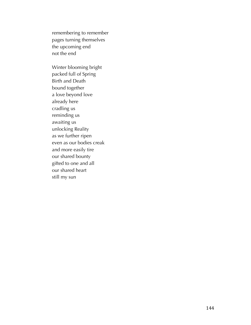remembering to remember pages turning themselves the upcoming end not the end

Winter blooming bright packed full of Spring Birth and Death bound together a love beyond love already here cradling us reminding us awaiting us unlocking Reality as we further ripen even as our bodies creak and more easily tire our shared bounty gifted to one and all our shared heart still my sun